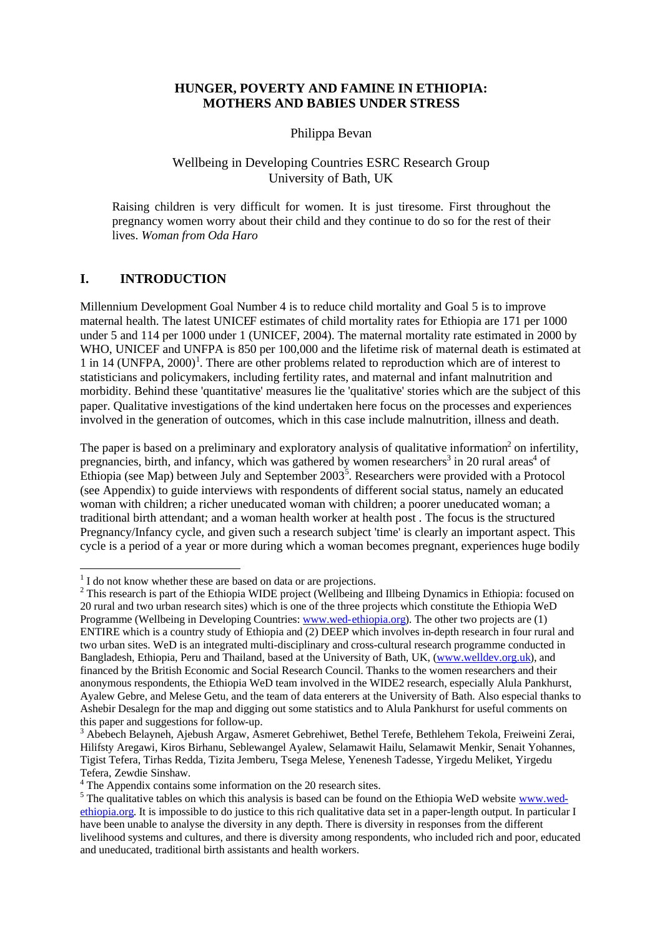# **HUNGER, POVERTY AND FAMINE IN ETHIOPIA: MOTHERS AND BABIES UNDER STRESS**

Philippa Bevan

## Wellbeing in Developing Countries ESRC Research Group University of Bath, UK

Raising children is very difficult for women. It is just tiresome. First throughout the pregnancy women worry about their child and they continue to do so for the rest of their lives. *Woman from Oda Haro*

## **I. INTRODUCTION**

l

Millennium Development Goal Number 4 is to reduce child mortality and Goal 5 is to improve maternal health. The latest UNICEF estimates of child mortality rates for Ethiopia are 171 per 1000 under 5 and 114 per 1000 under 1 (UNICEF, 2004). The maternal mortality rate estimated in 2000 by WHO, UNICEF and UNFPA is 850 per 100,000 and the lifetime risk of maternal death is estimated at 1 in 14 (UNFPA, 2000)<sup>1</sup>. There are other problems related to reproduction which are of interest to statisticians and policymakers, including fertility rates, and maternal and infant malnutrition and morbidity. Behind these 'quantitative' measures lie the 'qualitative' stories which are the subject of this paper. Qualitative investigations of the kind undertaken here focus on the processes and experiences involved in the generation of outcomes, which in this case include malnutrition, illness and death.

The paper is based on a preliminary and exploratory analysis of qualitative information<sup>2</sup> on infertility, pregnancies, birth, and infancy, which was gathered by women researchers<sup>3</sup> in 20 rural areas<sup>4</sup> of Ethiopia (see Map) between July and September  $2003^5$ . Researchers were provided with a Protocol (see Appendix) to guide interviews with respondents of different social status, namely an educated woman with children; a richer uneducated woman with children; a poorer uneducated woman; a traditional birth attendant; and a woman health worker at health post . The focus is the structured Pregnancy/Infancy cycle, and given such a research subject 'time' is clearly an important aspect. This cycle is a period of a year or more during which a woman becomes pregnant, experiences huge bodily

 $<sup>1</sup>$  I do not know whether these are based on data or are projections.</sup>

 $2$  This research is part of the Ethiopia WIDE project (Wellbeing and Illbeing Dynamics in Ethiopia: focused on 20 rural and two urban research sites) which is one of the three projects which constitute the Ethiopia WeD Programme (Wellbeing in Developing Countries: www.wed-ethiopia.org). The other two projects are (1) ENTIRE which is a country study of Ethiopia and (2) DEEP which involves in-depth research in four rural and two urban sites. WeD is an integrated multi-disciplinary and cross-cultural research programme conducted in Bangladesh, Ethiopia, Peru and Thailand, based at the University of Bath, UK, (www.welldev.org.uk), and financed by the British Economic and Social Research Council. Thanks to the women researchers and their anonymous respondents, the Ethiopia WeD team involved in the WIDE2 research, especially Alula Pankhurst, Ayalew Gebre, and Melese Getu, and the team of data enterers at the University of Bath. Also especial thanks to Ashebir Desalegn for the map and digging out some statistics and to Alula Pankhurst for useful comments on this paper and suggestions for follow-up.

<sup>3</sup> Abebech Belayneh, Ajebush Argaw, Asmeret Gebrehiwet, Bethel Terefe, Bethlehem Tekola, Freiweini Zerai, Hilifsty Aregawi, Kiros Birhanu, Seblewangel Ayalew, Selamawit Hailu, Selamawit Menkir, Senait Yohannes, Tigist Tefera, Tirhas Redda, Tizita Jemberu, Tsega Melese, Yenenesh Tadesse, Yirgedu Meliket, Yirgedu Tefera, Zewdie Sinshaw.

<sup>&</sup>lt;sup>4</sup> The Appendix contains some information on the 20 research sites.

<sup>&</sup>lt;sup>5</sup> The qualitative tables on which this analysis is based can be found on the Ethiopia WeD website www.wedethiopia.org. It is impossible to do justice to this rich qualitative data set in a paper-length output. In particular I have been unable to analyse the diversity in any depth. There is diversity in responses from the different livelihood systems and cultures, and there is diversity among respondents, who included rich and poor, educated and uneducated, traditional birth assistants and health workers.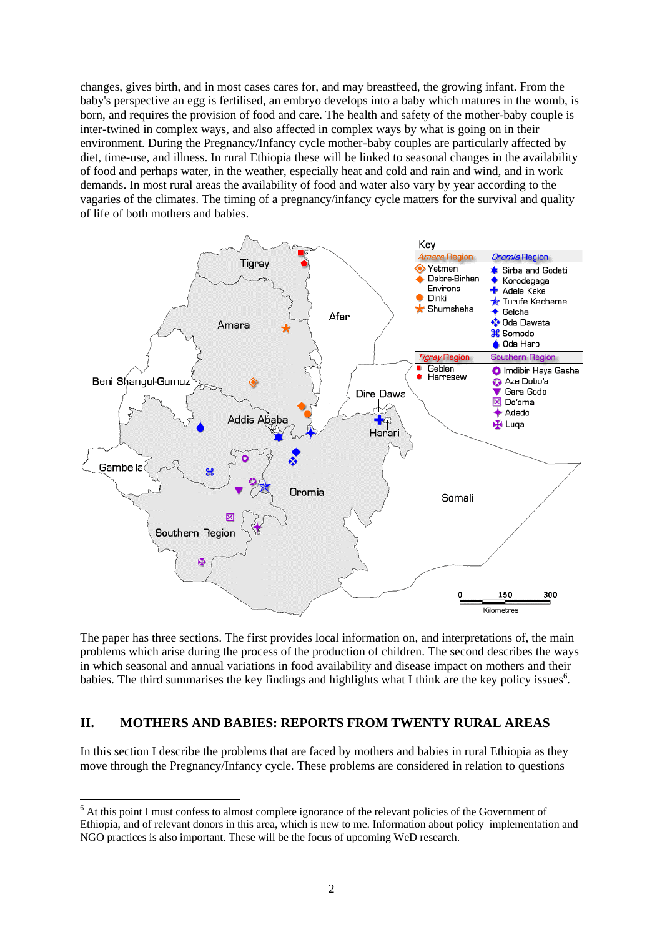changes, gives birth, and in most cases cares for, and may breastfeed, the growing infant. From the baby's perspective an egg is fertilised, an embryo develops into a baby which matures in the womb, is born, and requires the provision of food and care. The health and safety of the mother-baby couple is inter-twined in complex ways, and also affected in complex ways by what is going on in their environment. During the Pregnancy/Infancy cycle mother-baby couples are particularly affected by diet, time-use, and illness. In rural Ethiopia these will be linked to seasonal changes in the availability of food and perhaps water, in the weather, especially heat and cold and rain and wind, and in work demands. In most rural areas the availability of food and water also vary by year according to the vagaries of the climates. The timing of a pregnancy/infancy cycle matters for the survival and quality of life of both mothers and babies.



The paper has three sections. The first provides local information on, and interpretations of, the main problems which arise during the process of the production of children. The second describes the ways in which seasonal and annual variations in food availability and disease impact on mothers and their babies. The third summarises the key findings and highlights what I think are the key policy issues<sup>6</sup>.

## **II. MOTHERS AND BABIES: REPORTS FROM TWENTY RURAL AREAS**

l

In this section I describe the problems that are faced by mothers and babies in rural Ethiopia as they move through the Pregnancy/Infancy cycle. These problems are considered in relation to questions

<sup>&</sup>lt;sup>6</sup> At this point I must confess to almost complete ignorance of the relevant policies of the Government of Ethiopia, and of relevant donors in this area, which is new to me. Information about policy implementation and NGO practices is also important. These will be the focus of upcoming WeD research.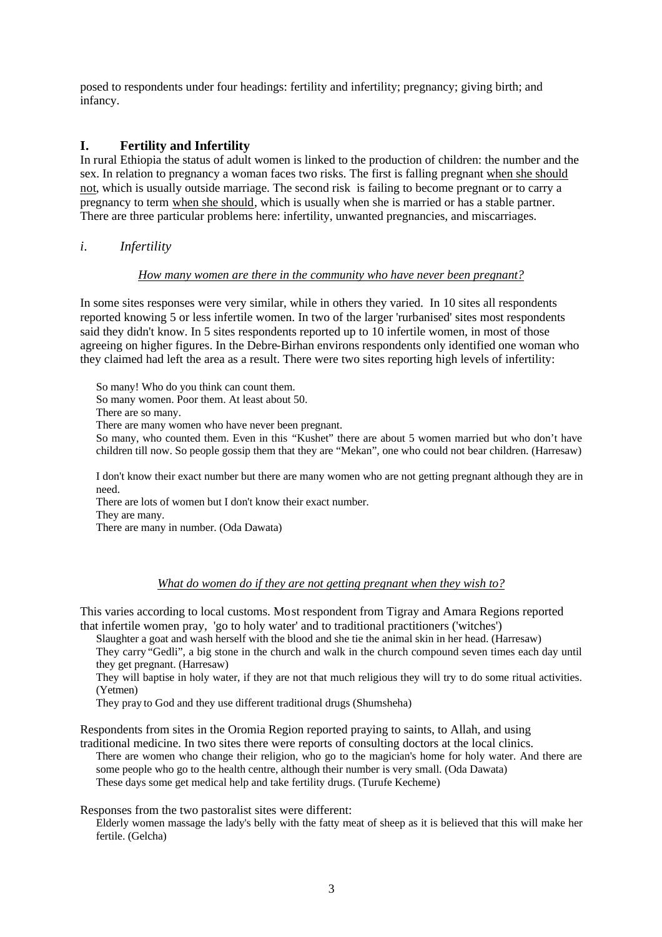posed to respondents under four headings: fertility and infertility; pregnancy; giving birth; and infancy.

# **I. Fertility and Infertility**

In rural Ethiopia the status of adult women is linked to the production of children: the number and the sex. In relation to pregnancy a woman faces two risks. The first is falling pregnant when she should not, which is usually outside marriage. The second risk is failing to become pregnant or to carry a pregnancy to term when she should, which is usually when she is married or has a stable partner. There are three particular problems here: infertility, unwanted pregnancies, and miscarriages.

*i. Infertility*

## *How many women are there in the community who have never been pregnant?*

In some sites responses were very similar, while in others they varied. In 10 sites all respondents reported knowing 5 or less infertile women. In two of the larger 'rurbanised' sites most respondents said they didn't know. In 5 sites respondents reported up to 10 infertile women, in most of those agreeing on higher figures. In the Debre-Birhan environs respondents only identified one woman who they claimed had left the area as a result. There were two sites reporting high levels of infertility:

So many! Who do you think can count them.

So many women. Poor them. At least about 50.

There are so many.

There are many women who have never been pregnant.

So many, who counted them. Even in this "Kushet" there are about 5 women married but who don't have children till now. So people gossip them that they are "Mekan", one who could not bear children. (Harresaw)

I don't know their exact number but there are many women who are not getting pregnant although they are in need.

There are lots of women but I don't know their exact number.

They are many.

There are many in number. (Oda Dawata)

## *What do women do if they are not getting pregnant when they wish to?*

This varies according to local customs. Most respondent from Tigray and Amara Regions reported that infertile women pray, 'go to holy water' and to traditional practitioners ('witches')

Slaughter a goat and wash herself with the blood and she tie the animal skin in her head. (Harresaw)

They carry "Gedli", a big stone in the church and walk in the church compound seven times each day until they get pregnant. (Harresaw)

They will baptise in holy water, if they are not that much religious they will try to do some ritual activities. (Yetmen)

They pray to God and they use different traditional drugs (Shumsheha)

Respondents from sites in the Oromia Region reported praying to saints, to Allah, and using

traditional medicine. In two sites there were reports of consulting doctors at the local clinics. There are women who change their religion, who go to the magician's home for holy water. And there are some people who go to the health centre, although their number is very small. (Oda Dawata) These days some get medical help and take fertility drugs. (Turufe Kecheme)

Responses from the two pastoralist sites were different:

Elderly women massage the lady's belly with the fatty meat of sheep as it is believed that this will make her fertile. (Gelcha)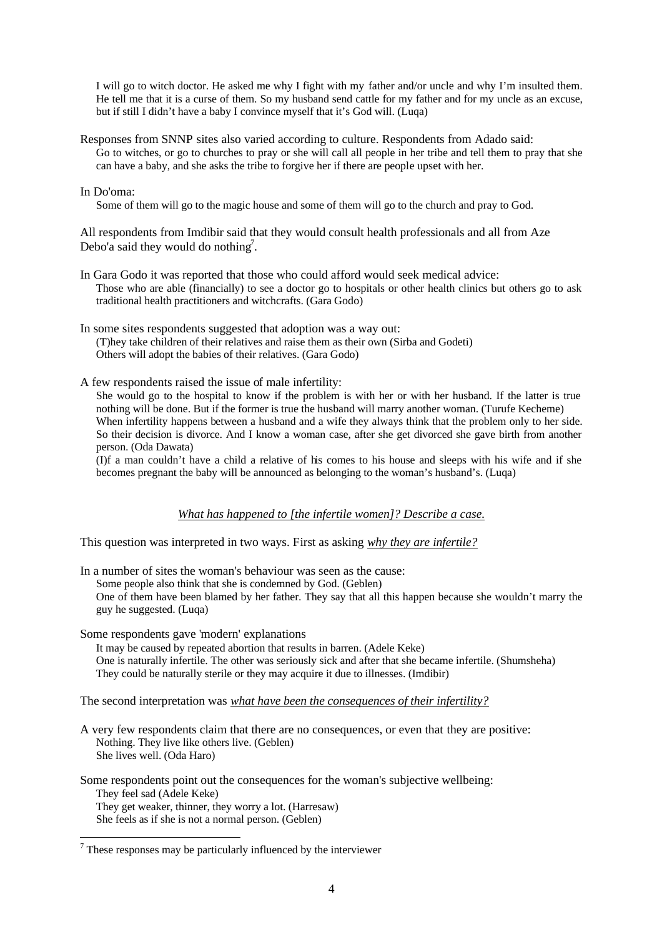I will go to witch doctor. He asked me why I fight with my father and/or uncle and why I'm insulted them. He tell me that it is a curse of them. So my husband send cattle for my father and for my uncle as an excuse, but if still I didn't have a baby I convince myself that it's God will. (Luqa)

Responses from SNNP sites also varied according to culture. Respondents from Adado said: Go to witches, or go to churches to pray or she will call all people in her tribe and tell them to pray that she can have a baby, and she asks the tribe to forgive her if there are people upset with her.

### In Do'oma:

Some of them will go to the magic house and some of them will go to the church and pray to God.

All respondents from Imdibir said that they would consult health professionals and all from Aze Debo'a said they would do nothing<sup>7</sup>.

In Gara Godo it was reported that those who could afford would seek medical advice: Those who are able (financially) to see a doctor go to hospitals or other health clinics but others go to ask traditional health practitioners and witchcrafts. (Gara Godo)

In some sites respondents suggested that adoption was a way out: (T)hey take children of their relatives and raise them as their own (Sirba and Godeti) Others will adopt the babies of their relatives. (Gara Godo)

A few respondents raised the issue of male infertility:

She would go to the hospital to know if the problem is with her or with her husband. If the latter is true nothing will be done. But if the former is true the husband will marry another woman. (Turufe Kecheme) When infertility happens between a husband and a wife they always think that the problem only to her side. So their decision is divorce. And I know a woman case, after she get divorced she gave birth from another person. (Oda Dawata)

(I)f a man couldn't have a child a relative of his comes to his house and sleeps with his wife and if she becomes pregnant the baby will be announced as belonging to the woman's husband's. (Luqa)

## *What has happened to [the infertile women]? Describe a case.*

This question was interpreted in two ways. First as asking *why they are infertile?*

In a number of sites the woman's behaviour was seen as the cause:

Some people also think that she is condemned by God. (Geblen)

One of them have been blamed by her father. They say that all this happen because she wouldn't marry the guy he suggested. (Luqa)

Some respondents gave 'modern' explanations

It may be caused by repeated abortion that results in barren. (Adele Keke) One is naturally infertile. The other was seriously sick and after that she became infertile. (Shumsheha) They could be naturally sterile or they may acquire it due to illnesses. (Imdibir)

The second interpretation was *what have been the consequences of their infertility?*

A very few respondents claim that there are no consequences, or even that they are positive: Nothing. They live like others live. (Geblen) She lives well. (Oda Haro)

Some respondents point out the consequences for the woman's subjective wellbeing: They feel sad (Adele Keke) They get weaker, thinner, they worry a lot. (Harresaw)

She feels as if she is not a normal person. (Geblen)

l

 $<sup>7</sup>$  These responses may be particularly influenced by the interviewer</sup>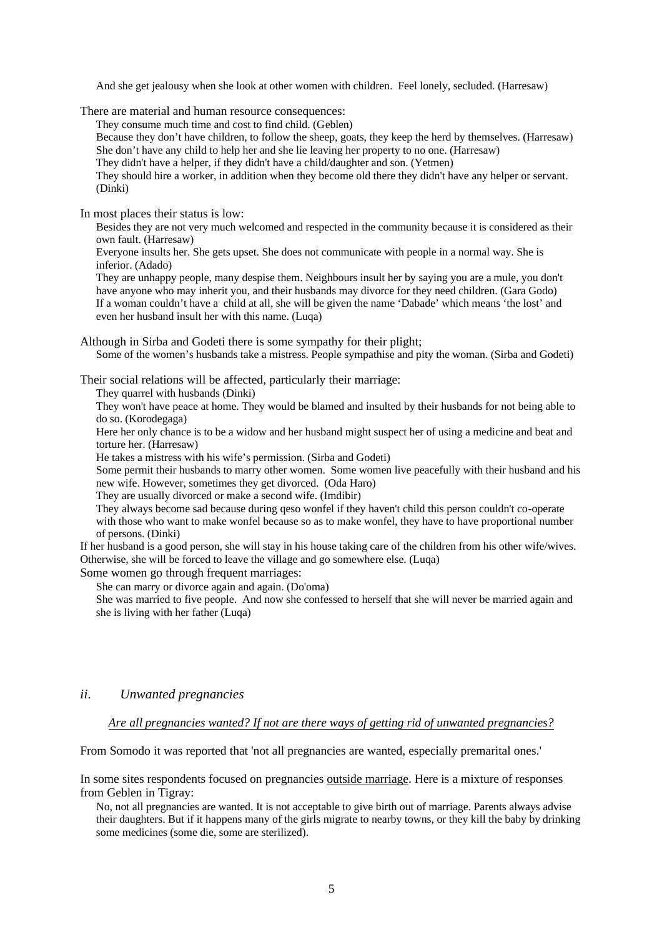And she get jealousy when she look at other women with children. Feel lonely, secluded. (Harresaw)

There are material and human resource consequences:

They consume much time and cost to find child. (Geblen)

Because they don't have children, to follow the sheep, goats, they keep the herd by themselves. (Harresaw) She don't have any child to help her and she lie leaving her property to no one. (Harresaw)

They didn't have a helper, if they didn't have a child/daughter and son. (Yetmen)

They should hire a worker, in addition when they become old there they didn't have any helper or servant. (Dinki)

In most places their status is low:

Besides they are not very much welcomed and respected in the community because it is considered as their own fault. (Harresaw)

Everyone insults her. She gets upset. She does not communicate with people in a normal way. She is inferior. (Adado)

They are unhappy people, many despise them. Neighbours insult her by saying you are a mule, you don't have anyone who may inherit you, and their husbands may divorce for they need children. (Gara Godo) If a woman couldn't have a child at all, she will be given the name 'Dabade' which means 'the lost' and even her husband insult her with this name. (Luqa)

Although in Sirba and Godeti there is some sympathy for their plight;

Some of the women's husbands take a mistress. People sympathise and pity the woman. (Sirba and Godeti)

Their social relations will be affected, particularly their marriage:

They quarrel with husbands (Dinki)

They won't have peace at home. They would be blamed and insulted by their husbands for not being able to do so. (Korodegaga)

Here her only chance is to be a widow and her husband might suspect her of using a medicine and beat and torture her. (Harresaw)

He takes a mistress with his wife's permission. (Sirba and Godeti)

Some permit their husbands to marry other women. Some women live peacefully with their husband and his new wife. However, sometimes they get divorced. (Oda Haro)

They are usually divorced or make a second wife. (Imdibir)

They always become sad because during qeso wonfel if they haven't child this person couldn't co-operate with those who want to make wonfel because so as to make wonfel, they have to have proportional number of persons. (Dinki)

If her husband is a good person, she will stay in his house taking care of the children from his other wife/wives. Otherwise, she will be forced to leave the village and go somewhere else. (Luqa)

Some women go through frequent marriages:

She can marry or divorce again and again. (Do'oma)

She was married to five people. And now she confessed to herself that she will never be married again and she is living with her father (Luqa)

### *ii. Unwanted pregnancies*

*Are all pregnancies wanted? If not are there ways of getting rid of unwanted pregnancies?*

From Somodo it was reported that 'not all pregnancies are wanted, especially premarital ones.'

In some sites respondents focused on pregnancies outside marriage. Here is a mixture of responses from Geblen in Tigray:

No, not all pregnancies are wanted. It is not acceptable to give birth out of marriage. Parents always advise their daughters. But if it happens many of the girls migrate to nearby towns, or they kill the baby by drinking some medicines (some die, some are sterilized).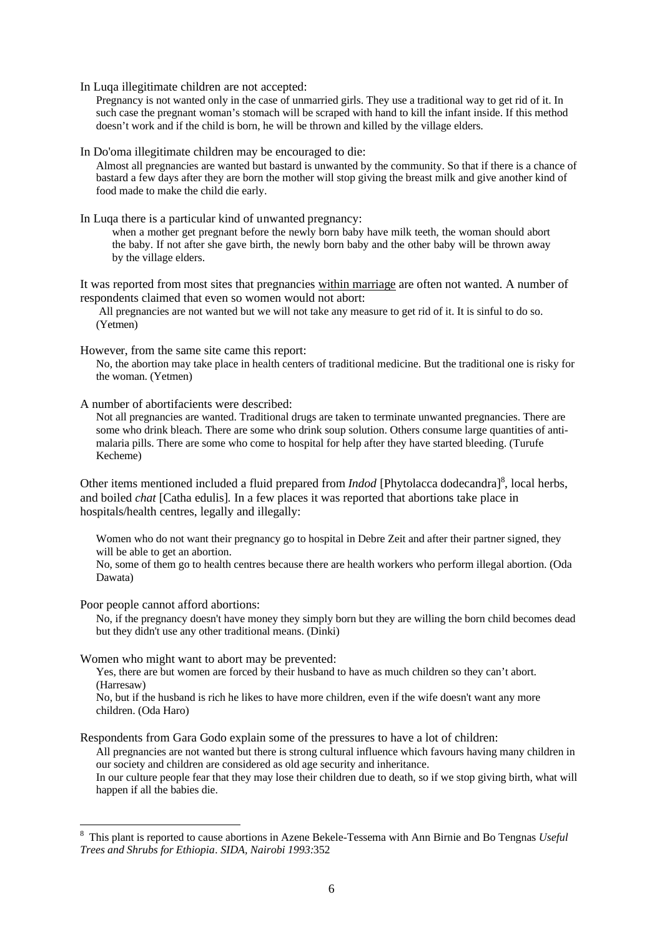In Luqa illegitimate children are not accepted:

Pregnancy is not wanted only in the case of unmarried girls. They use a traditional way to get rid of it. In such case the pregnant woman's stomach will be scraped with hand to kill the infant inside. If this method doesn't work and if the child is born, he will be thrown and killed by the village elders.

In Do'oma illegitimate children may be encouraged to die:

Almost all pregnancies are wanted but bastard is unwanted by the community. So that if there is a chance of bastard a few days after they are born the mother will stop giving the breast milk and give another kind of food made to make the child die early.

In Luqa there is a particular kind of unwanted pregnancy:

when a mother get pregnant before the newly born baby have milk teeth, the woman should abort the baby. If not after she gave birth, the newly born baby and the other baby will be thrown away by the village elders.

It was reported from most sites that pregnancies within marriage are often not wanted. A number of respondents claimed that even so women would not abort:

 All pregnancies are not wanted but we will not take any measure to get rid of it. It is sinful to do so. (Yetmen)

However, from the same site came this report:

No, the abortion may take place in health centers of traditional medicine. But the traditional one is risky for the woman. (Yetmen)

A number of abortifacients were described:

Not all pregnancies are wanted. Traditional drugs are taken to terminate unwanted pregnancies. There are some who drink bleach. There are some who drink soup solution. Others consume large quantities of antimalaria pills. There are some who come to hospital for help after they have started bleeding. (Turufe Kecheme)

Other items mentioned included a fluid prepared from *Indod* [Phytolacca dodecandra]<sup>8</sup>, local herbs, and boiled *chat* [Catha edulis]*.* In a few places it was reported that abortions take place in hospitals/health centres, legally and illegally:

Women who do not want their pregnancy go to hospital in Debre Zeit and after their partner signed, they will be able to get an abortion.

No, some of them go to health centres because there are health workers who perform illegal abortion. (Oda Dawata)

Poor people cannot afford abortions:

 $\overline{a}$ 

No, if the pregnancy doesn't have money they simply born but they are willing the born child becomes dead but they didn't use any other traditional means. (Dinki)

Women who might want to abort may be prevented:

Yes, there are but women are forced by their husband to have as much children so they can't abort. (Harresaw)

No, but if the husband is rich he likes to have more children, even if the wife doesn't want any more children. (Oda Haro)

Respondents from Gara Godo explain some of the pressures to have a lot of children:

All pregnancies are not wanted but there is strong cultural influence which favours having many children in our society and children are considered as old age security and inheritance.

In our culture people fear that they may lose their children due to death, so if we stop giving birth, what will happen if all the babies die.

<sup>8</sup> This plant is reported to cause abortions in Azene Bekele-Tessema with Ann Birnie and Bo Tengnas *Useful Trees and Shrubs for Ethiopia. SIDA, Nairobi 1993:*352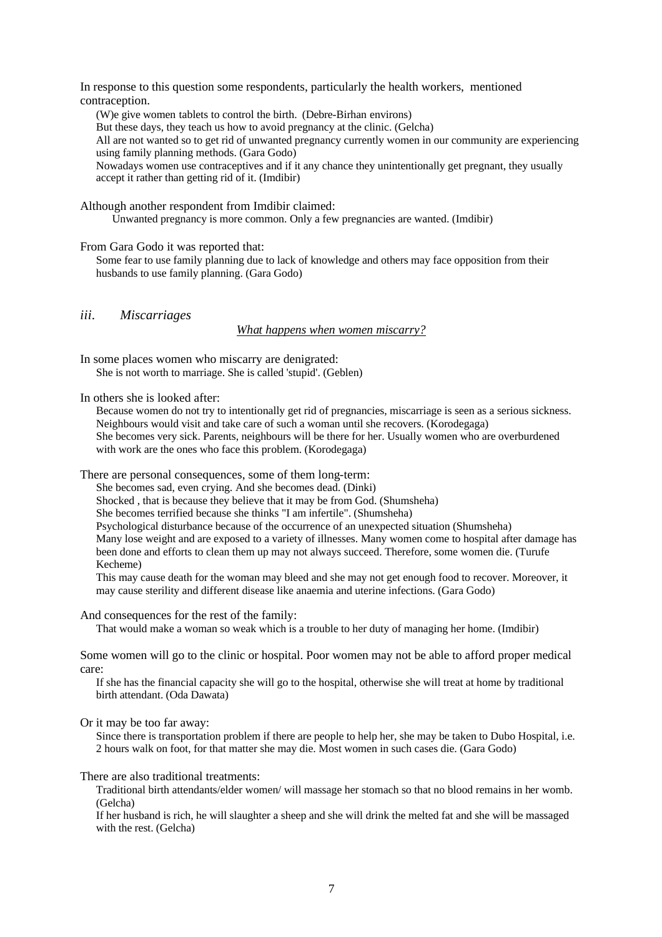In response to this question some respondents, particularly the health workers, mentioned contraception.

(W)e give women tablets to control the birth. (Debre-Birhan environs)

But these days, they teach us how to avoid pregnancy at the clinic. (Gelcha)

All are not wanted so to get rid of unwanted pregnancy currently women in our community are experiencing using family planning methods. (Gara Godo)

Nowadays women use contraceptives and if it any chance they unintentionally get pregnant, they usually accept it rather than getting rid of it. (Imdibir)

Although another respondent from Imdibir claimed:

Unwanted pregnancy is more common. Only a few pregnancies are wanted. (Imdibir)

From Gara Godo it was reported that:

Some fear to use family planning due to lack of knowledge and others may face opposition from their husbands to use family planning. (Gara Godo)

*iii. Miscarriages*

*What happens when women miscarry?*

In some places women who miscarry are denigrated: She is not worth to marriage. She is called 'stupid'. (Geblen)

In others she is looked after:

Because women do not try to intentionally get rid of pregnancies, miscarriage is seen as a serious sickness. Neighbours would visit and take care of such a woman until she recovers. (Korodegaga) She becomes very sick. Parents, neighbours will be there for her. Usually women who are overburdened with work are the ones who face this problem. (Korodegaga)

There are personal consequences, some of them long-term:

She becomes sad, even crying. And she becomes dead. (Dinki)

Shocked , that is because they believe that it may be from God. (Shumsheha)

She becomes terrified because she thinks "I am infertile". (Shumsheha)

Psychological disturbance because of the occurrence of an unexpected situation (Shumsheha)

Many lose weight and are exposed to a variety of illnesses. Many women come to hospital after damage has been done and efforts to clean them up may not always succeed. Therefore, some women die. (Turufe Kecheme)

This may cause death for the woman may bleed and she may not get enough food to recover. Moreover, it may cause sterility and different disease like anaemia and uterine infections. (Gara Godo)

And consequences for the rest of the family:

That would make a woman so weak which is a trouble to her duty of managing her home. (Imdibir)

Some women will go to the clinic or hospital. Poor women may not be able to afford proper medical care:

If she has the financial capacity she will go to the hospital, otherwise she will treat at home by traditional birth attendant. (Oda Dawata)

#### Or it may be too far away:

Since there is transportation problem if there are people to help her, she may be taken to Dubo Hospital, i.e. 2 hours walk on foot, for that matter she may die. Most women in such cases die. (Gara Godo)

## There are also traditional treatments:

Traditional birth attendants/elder women/ will massage her stomach so that no blood remains in her womb. (Gelcha)

If her husband is rich, he will slaughter a sheep and she will drink the melted fat and she will be massaged with the rest. (Gelcha)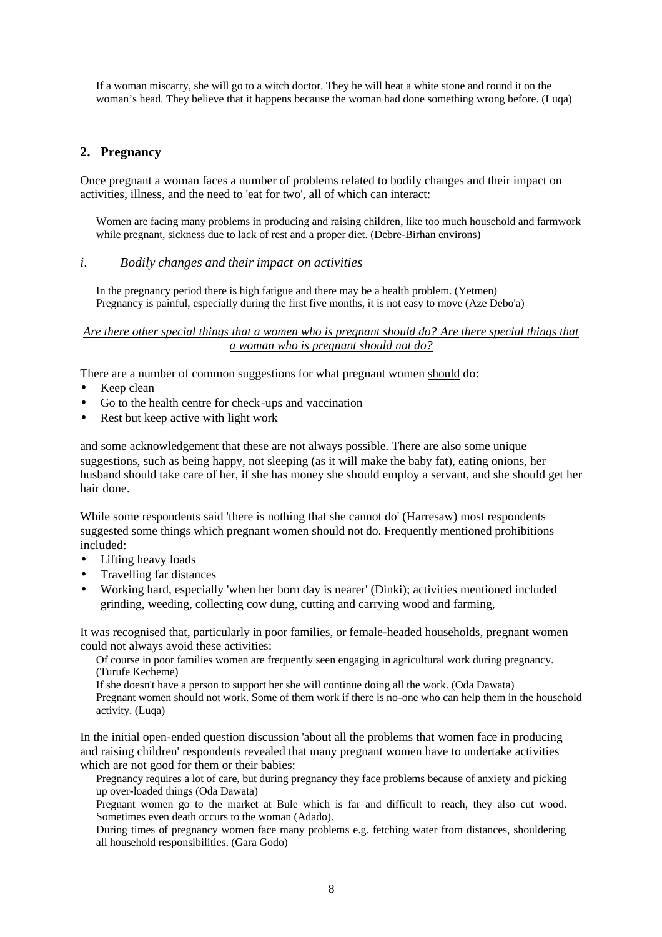If a woman miscarry, she will go to a witch doctor. They he will heat a white stone and round it on the woman's head. They believe that it happens because the woman had done something wrong before. (Luqa)

## **2. Pregnancy**

Once pregnant a woman faces a number of problems related to bodily changes and their impact on activities, illness, and the need to 'eat for two', all of which can interact:

Women are facing many problems in producing and raising children, like too much household and farmwork while pregnant, sickness due to lack of rest and a proper diet. (Debre-Birhan environs)

### *i. Bodily changes and their impact on activities*

In the pregnancy period there is high fatigue and there may be a health problem. (Yetmen) Pregnancy is painful, especially during the first five months, it is not easy to move (Aze Debo'a)

## *Are there other special things that a women who is pregnant should do? Are there special things that a woman who is pregnant should not do?*

There are a number of common suggestions for what pregnant women should do:

- Keep clean
- Go to the health centre for check-ups and vaccination
- Rest but keep active with light work

and some acknowledgement that these are not always possible. There are also some unique suggestions, such as being happy, not sleeping (as it will make the baby fat), eating onions, her husband should take care of her, if she has money she should employ a servant, and she should get her hair done.

While some respondents said 'there is nothing that she cannot do' (Harresaw) most respondents suggested some things which pregnant women should not do. Frequently mentioned prohibitions included:

- Lifting heavy loads
- Travelling far distances
- Working hard, especially 'when her born day is nearer' (Dinki); activities mentioned included grinding, weeding, collecting cow dung, cutting and carrying wood and farming,

It was recognised that, particularly in poor families, or female-headed households, pregnant women could not always avoid these activities:

Of course in poor families women are frequently seen engaging in agricultural work during pregnancy. (Turufe Kecheme)

If she doesn't have a person to support her she will continue doing all the work. (Oda Dawata) Pregnant women should not work. Some of them work if there is no-one who can help them in the household activity. (Luqa)

In the initial open-ended question discussion 'about all the problems that women face in producing and raising children' respondents revealed that many pregnant women have to undertake activities which are not good for them or their babies:

Pregnancy requires a lot of care, but during pregnancy they face problems because of anxiety and picking up over-loaded things (Oda Dawata)

Pregnant women go to the market at Bule which is far and difficult to reach, they also cut wood. Sometimes even death occurs to the woman (Adado).

During times of pregnancy women face many problems e.g. fetching water from distances, shouldering all household responsibilities. (Gara Godo)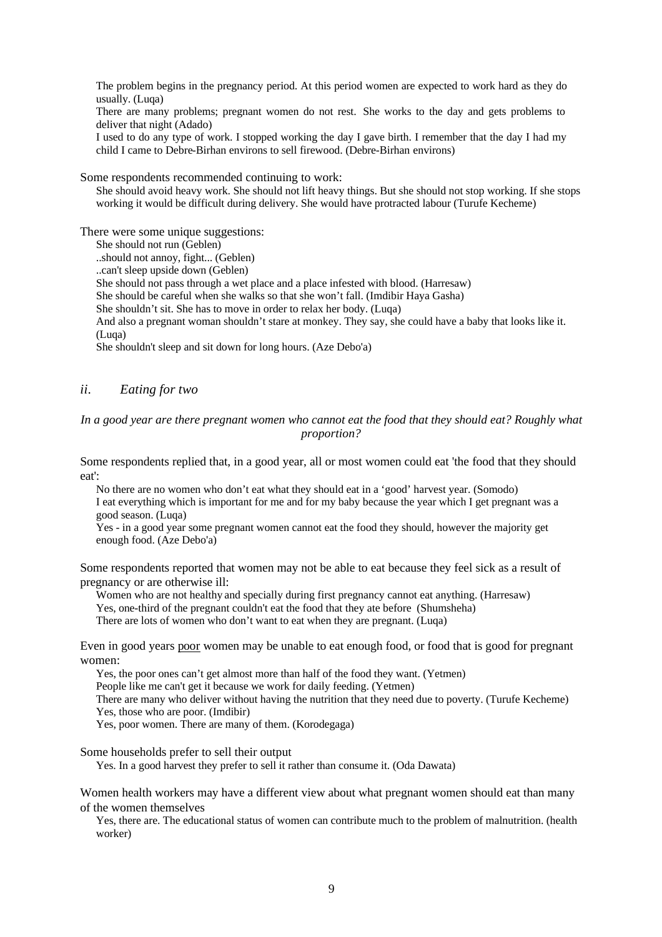The problem begins in the pregnancy period. At this period women are expected to work hard as they do usually. (Luqa)

There are many problems; pregnant women do not rest. She works to the day and gets problems to deliver that night (Adado)

I used to do any type of work. I stopped working the day I gave birth. I remember that the day I had my child I came to Debre-Birhan environs to sell firewood. (Debre-Birhan environs)

Some respondents recommended continuing to work:

She should avoid heavy work. She should not lift heavy things. But she should not stop working. If she stops working it would be difficult during delivery. She would have protracted labour (Turufe Kecheme)

There were some unique suggestions:

She should not run (Geblen)

..should not annoy, fight... (Geblen)

..can't sleep upside down (Geblen)

She should not pass through a wet place and a place infested with blood. (Harresaw)

She should be careful when she walks so that she won't fall. (Imdibir Haya Gasha)

She shouldn't sit. She has to move in order to relax her body. (Luqa)

And also a pregnant woman shouldn't stare at monkey. They say, she could have a baby that looks like it. (Luqa)

She shouldn't sleep and sit down for long hours. (Aze Debo'a)

## *ii. Eating for two*

#### *In a good year are there pregnant women who cannot eat the food that they should eat? Roughly what proportion?*

Some respondents replied that, in a good year, all or most women could eat 'the food that they should eat':

No there are no women who don't eat what they should eat in a 'good' harvest year. (Somodo) I eat everything which is important for me and for my baby because the year which I get pregnant was a good season. (Luqa)

Yes - in a good year some pregnant women cannot eat the food they should, however the majority get enough food. (Aze Debo'a)

Some respondents reported that women may not be able to eat because they feel sick as a result of pregnancy or are otherwise ill:

Women who are not healthy and specially during first pregnancy cannot eat anything. (Harresaw) Yes, one-third of the pregnant couldn't eat the food that they ate before (Shumsheha) There are lots of women who don't want to eat when they are pregnant. (Luqa)

Even in good years poor women may be unable to eat enough food, or food that is good for pregnant women:

Yes, the poor ones can't get almost more than half of the food they want. (Yetmen)

People like me can't get it because we work for daily feeding. (Yetmen)

There are many who deliver without having the nutrition that they need due to poverty. (Turufe Kecheme) Yes, those who are poor. (Imdibir)

Yes, poor women. There are many of them. (Korodegaga)

Some households prefer to sell their output

Yes. In a good harvest they prefer to sell it rather than consume it. (Oda Dawata)

Women health workers may have a different view about what pregnant women should eat than many of the women themselves

Yes, there are. The educational status of women can contribute much to the problem of malnutrition. (health worker)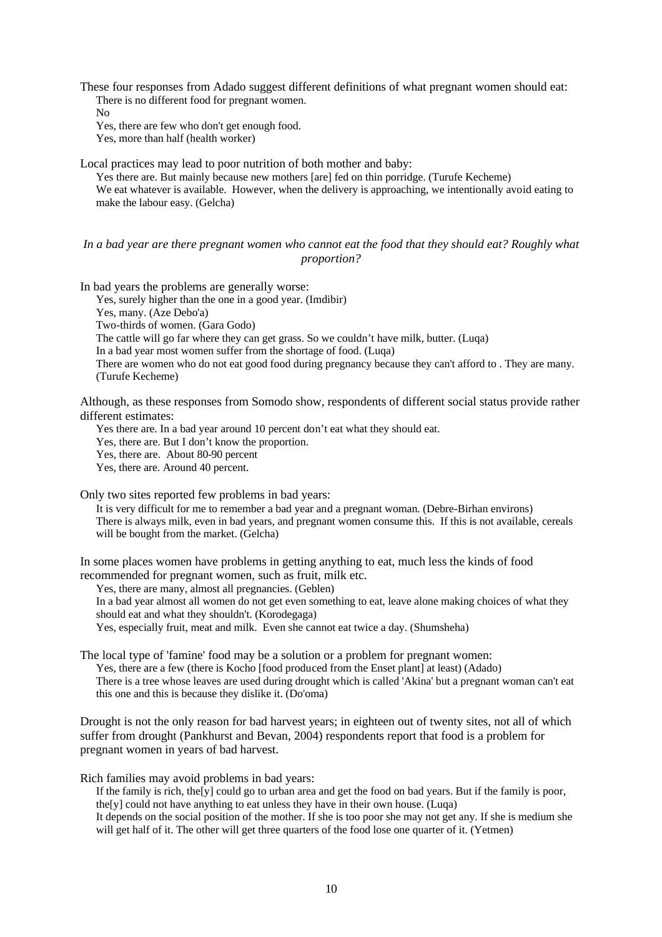These four responses from Adado suggest different definitions of what pregnant women should eat: There is no different food for pregnant women.

No

Yes, there are few who don't get enough food. Yes, more than half (health worker)

Local practices may lead to poor nutrition of both mother and baby:

Yes there are. But mainly because new mothers [are] fed on thin porridge. (Turufe Kecheme) We eat whatever is available. However, when the delivery is approaching, we intentionally avoid eating to make the labour easy. (Gelcha)

### *In a bad year are there pregnant women who cannot eat the food that they should eat? Roughly what proportion?*

In bad years the problems are generally worse:

Yes, surely higher than the one in a good year. (Imdibir)

Yes, many. (Aze Debo'a)

Two-thirds of women. (Gara Godo)

The cattle will go far where they can get grass. So we couldn't have milk, butter. (Luqa)

In a bad year most women suffer from the shortage of food. (Luqa)

There are women who do not eat good food during pregnancy because they can't afford to . They are many. (Turufe Kecheme)

Although, as these responses from Somodo show, respondents of different social status provide rather different estimates:

Yes there are. In a bad year around 10 percent don't eat what they should eat.

Yes, there are. But I don't know the proportion.

Yes, there are. About 80-90 percent

Yes, there are. Around 40 percent.

Only two sites reported few problems in bad years:

It is very difficult for me to remember a bad year and a pregnant woman. (Debre-Birhan environs) There is always milk, even in bad years, and pregnant women consume this. If this is not available, cereals will be bought from the market. (Gelcha)

In some places women have problems in getting anything to eat, much less the kinds of food recommended for pregnant women, such as fruit, milk etc.

Yes, there are many, almost all pregnancies. (Geblen)

In a bad year almost all women do not get even something to eat, leave alone making choices of what they should eat and what they shouldn't. (Korodegaga)

Yes, especially fruit, meat and milk. Even she cannot eat twice a day. (Shumsheha)

The local type of 'famine' food may be a solution or a problem for pregnant women:

Yes, there are a few (there is Kocho [food produced from the Enset plant] at least) (Adado) There is a tree whose leaves are used during drought which is called 'Akina' but a pregnant woman can't eat this one and this is because they dislike it. (Do'oma)

Drought is not the only reason for bad harvest years; in eighteen out of twenty sites, not all of which suffer from drought (Pankhurst and Bevan, 2004) respondents report that food is a problem for pregnant women in years of bad harvest.

Rich families may avoid problems in bad years:

If the family is rich, the<sup>[y]</sup> could go to urban area and get the food on bad years. But if the family is poor, the[y] could not have anything to eat unless they have in their own house. (Luqa) It depends on the social position of the mother. If she is too poor she may not get any. If she is medium she will get half of it. The other will get three quarters of the food lose one quarter of it. (Yetmen)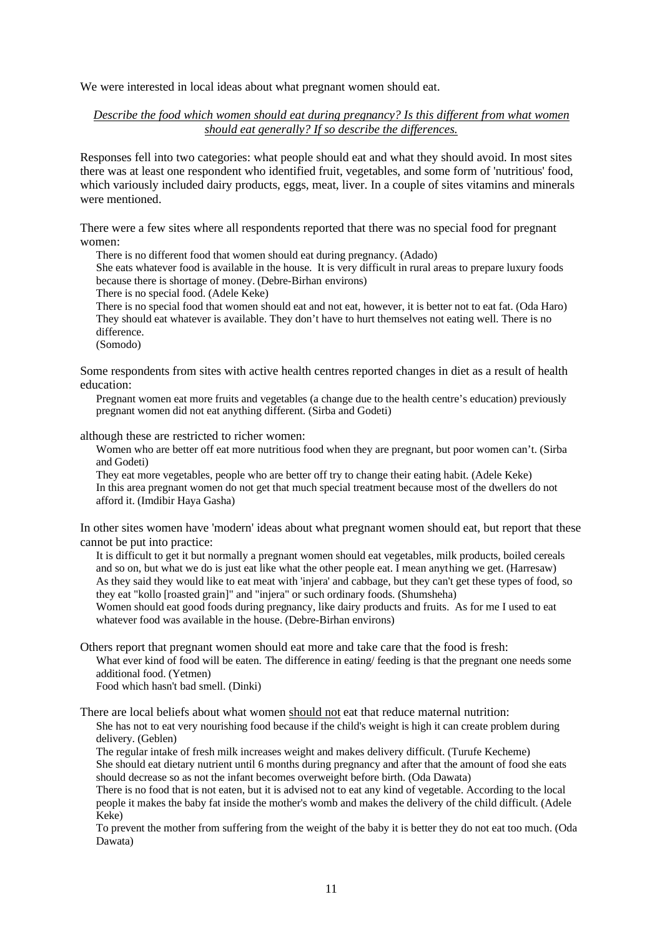We were interested in local ideas about what pregnant women should eat.

### *Describe the food which women should eat during pregnancy? Is this different from what women should eat generally? If so describe the differences.*

Responses fell into two categories: what people should eat and what they should avoid. In most sites there was at least one respondent who identified fruit, vegetables, and some form of 'nutritious' food, which variously included dairy products, eggs, meat, liver. In a couple of sites vitamins and minerals were mentioned.

There were a few sites where all respondents reported that there was no special food for pregnant women:

There is no different food that women should eat during pregnancy. (Adado)

She eats whatever food is available in the house. It is very difficult in rural areas to prepare luxury foods because there is shortage of money. (Debre-Birhan environs)

There is no special food. (Adele Keke)

There is no special food that women should eat and not eat, however, it is better not to eat fat. (Oda Haro) They should eat whatever is available. They don't have to hurt themselves not eating well. There is no difference.

(Somodo)

Some respondents from sites with active health centres reported changes in diet as a result of health education:

Pregnant women eat more fruits and vegetables (a change due to the health centre's education) previously pregnant women did not eat anything different. (Sirba and Godeti)

although these are restricted to richer women:

Women who are better off eat more nutritious food when they are pregnant, but poor women can't. (Sirba and Godeti)

They eat more vegetables, people who are better off try to change their eating habit. (Adele Keke) In this area pregnant women do not get that much special treatment because most of the dwellers do not afford it. (Imdibir Haya Gasha)

In other sites women have 'modern' ideas about what pregnant women should eat, but report that these cannot be put into practice:

It is difficult to get it but normally a pregnant women should eat vegetables, milk products, boiled cereals and so on, but what we do is just eat like what the other people eat. I mean anything we get. (Harresaw) As they said they would like to eat meat with 'injera' and cabbage, but they can't get these types of food, so they eat "kollo [roasted grain]" and "injera" or such ordinary foods. (Shumsheha)

Women should eat good foods during pregnancy, like dairy products and fruits. As for me I used to eat whatever food was available in the house. (Debre-Birhan environs)

Others report that pregnant women should eat more and take care that the food is fresh: What ever kind of food will be eaten. The difference in eating/ feeding is that the pregnant one needs some additional food. (Yetmen)

Food which hasn't bad smell. (Dinki)

There are local beliefs about what women should not eat that reduce maternal nutrition:

She has not to eat very nourishing food because if the child's weight is high it can create problem during delivery. (Geblen)

The regular intake of fresh milk increases weight and makes delivery difficult. (Turufe Kecheme) She should eat dietary nutrient until 6 months during pregnancy and after that the amount of food she eats should decrease so as not the infant becomes overweight before birth. (Oda Dawata)

There is no food that is not eaten, but it is advised not to eat any kind of vegetable. According to the local people it makes the baby fat inside the mother's womb and makes the delivery of the child difficult. (Adele Keke)

To prevent the mother from suffering from the weight of the baby it is better they do not eat too much. (Oda Dawata)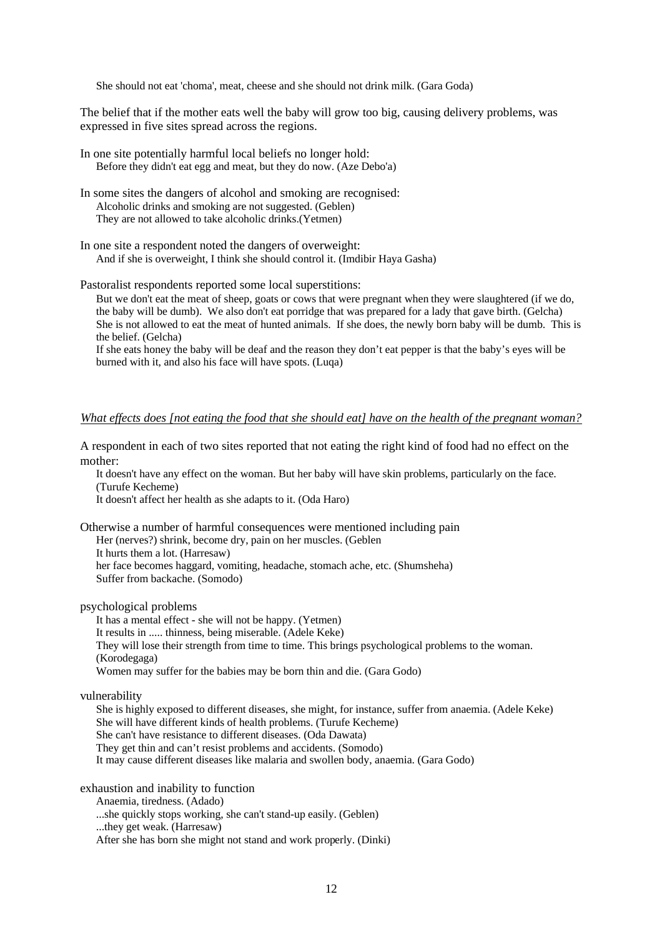She should not eat 'choma', meat, cheese and she should not drink milk. (Gara Goda)

The belief that if the mother eats well the baby will grow too big, causing delivery problems, was expressed in five sites spread across the regions.

- In one site potentially harmful local beliefs no longer hold: Before they didn't eat egg and meat, but they do now. (Aze Debo'a)
- In some sites the dangers of alcohol and smoking are recognised: Alcoholic drinks and smoking are not suggested. (Geblen) They are not allowed to take alcoholic drinks.(Yetmen)
- In one site a respondent noted the dangers of overweight: And if she is overweight, I think she should control it. (Imdibir Haya Gasha)

Pastoralist respondents reported some local superstitions:

But we don't eat the meat of sheep, goats or cows that were pregnant when they were slaughtered (if we do, the baby will be dumb). We also don't eat porridge that was prepared for a lady that gave birth. (Gelcha) She is not allowed to eat the meat of hunted animals. If she does, the newly born baby will be dumb. This is the belief. (Gelcha)

If she eats honey the baby will be deaf and the reason they don't eat pepper is that the baby's eyes will be burned with it, and also his face will have spots. (Luqa)

#### *What effects does [not eating the food that she should eat] have on the health of the pregnant woman?*

A respondent in each of two sites reported that not eating the right kind of food had no effect on the mother:

It doesn't have any effect on the woman. But her baby will have skin problems, particularly on the face. (Turufe Kecheme)

It doesn't affect her health as she adapts to it. (Oda Haro)

Otherwise a number of harmful consequences were mentioned including pain Her (nerves?) shrink, become dry, pain on her muscles. (Geblen It hurts them a lot. (Harresaw) her face becomes haggard, vomiting, headache, stomach ache, etc. (Shumsheha) Suffer from backache. (Somodo)

#### psychological problems

It has a mental effect - she will not be happy. (Yetmen) It results in ..... thinness, being miserable. (Adele Keke) They will lose their strength from time to time. This brings psychological problems to the woman. (Korodegaga) Women may suffer for the babies may be born thin and die. (Gara Godo)

vulnerability

She is highly exposed to different diseases, she might, for instance, suffer from anaemia. (Adele Keke) She will have different kinds of health problems. (Turufe Kecheme) She can't have resistance to different diseases. (Oda Dawata) They get thin and can't resist problems and accidents. (Somodo) It may cause different diseases like malaria and swollen body, anaemia. (Gara Godo)

exhaustion and inability to function

Anaemia, tiredness. (Adado)

...she quickly stops working, she can't stand-up easily. (Geblen)

...they get weak. (Harresaw)

After she has born she might not stand and work properly. (Dinki)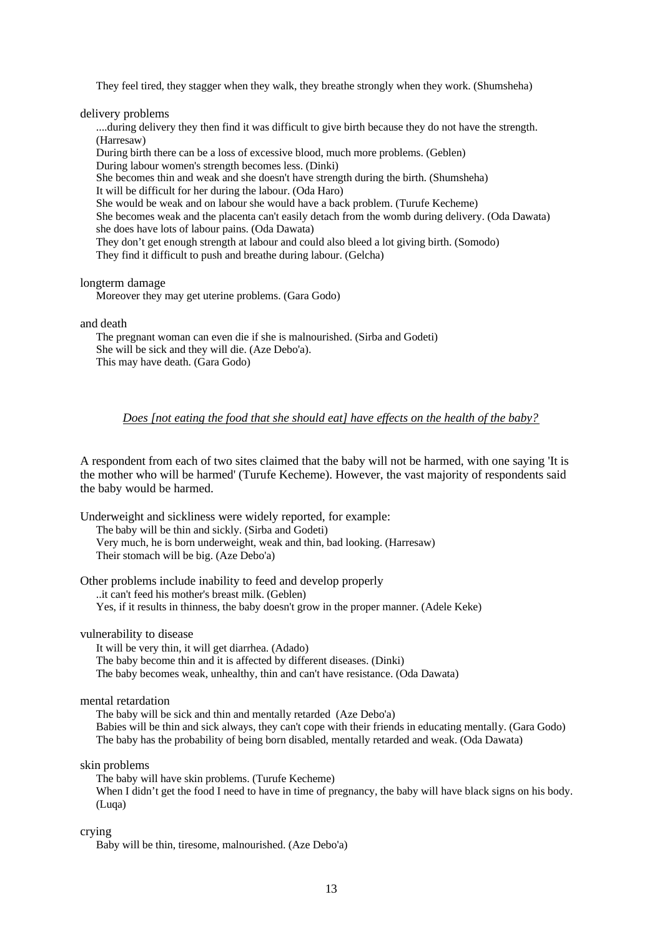They feel tired, they stagger when they walk, they breathe strongly when they work. (Shumsheha)

delivery problems

....during delivery they then find it was difficult to give birth because they do not have the strength. (Harresaw)

During birth there can be a loss of excessive blood, much more problems. (Geblen)

During labour women's strength becomes less. (Dinki)

She becomes thin and weak and she doesn't have strength during the birth. (Shumsheha) It will be difficult for her during the labour. (Oda Haro)

She would be weak and on labour she would have a back problem. (Turufe Kecheme)

She becomes weak and the placenta can't easily detach from the womb during delivery. (Oda Dawata) she does have lots of labour pains. (Oda Dawata)

They don't get enough strength at labour and could also bleed a lot giving birth. (Somodo) They find it difficult to push and breathe during labour. (Gelcha)

longterm damage

Moreover they may get uterine problems. (Gara Godo)

and death

The pregnant woman can even die if she is malnourished. (Sirba and Godeti) She will be sick and they will die. (Aze Debo'a). This may have death. (Gara Godo)

### *Does [not eating the food that she should eat] have effects on the health of the baby?*

A respondent from each of two sites claimed that the baby will not be harmed, with one saying 'It is the mother who will be harmed' (Turufe Kecheme). However, the vast majority of respondents said the baby would be harmed.

Underweight and sickliness were widely reported, for example:

The baby will be thin and sickly. (Sirba and Godeti)

Very much, he is born underweight, weak and thin, bad looking. (Harresaw) Their stomach will be big. (Aze Debo'a)

Other problems include inability to feed and develop properly

..it can't feed his mother's breast milk. (Geblen)

Yes, if it results in thinness, the baby doesn't grow in the proper manner. (Adele Keke)

vulnerability to disease

It will be very thin, it will get diarrhea. (Adado) The baby become thin and it is affected by different diseases. (Dinki) The baby becomes weak, unhealthy, thin and can't have resistance. (Oda Dawata)

mental retardation

The baby will be sick and thin and mentally retarded (Aze Debo'a) Babies will be thin and sick always, they can't cope with their friends in educating mentally. (Gara Godo) The baby has the probability of being born disabled, mentally retarded and weak. (Oda Dawata)

skin problems

The baby will have skin problems. (Turufe Kecheme) When I didn't get the food I need to have in time of pregnancy, the baby will have black signs on his body. (Luqa)

crying

Baby will be thin, tiresome, malnourished. (Aze Debo'a)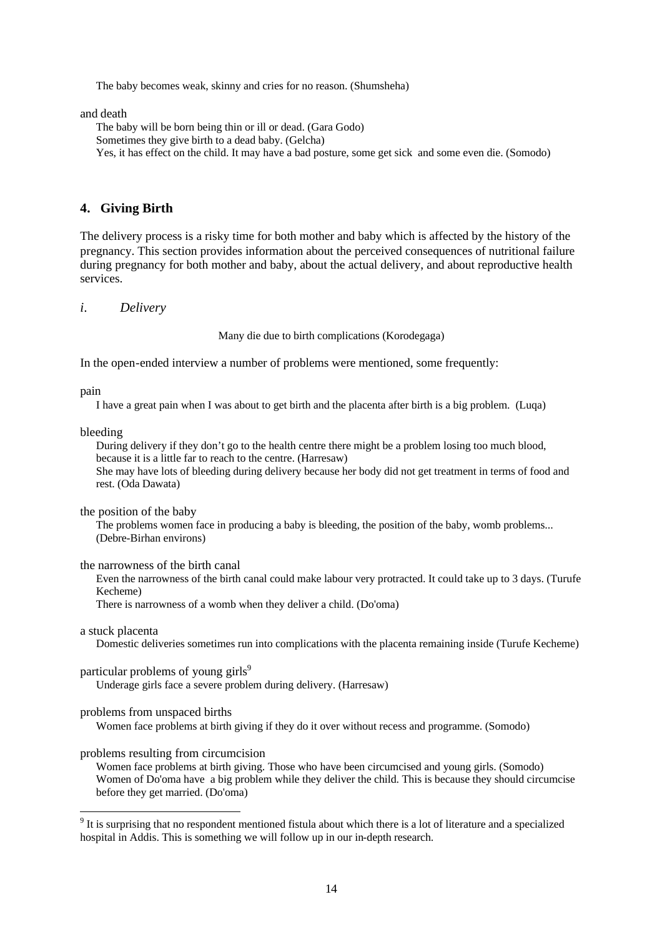The baby becomes weak, skinny and cries for no reason. (Shumsheha)

and death

The baby will be born being thin or ill or dead. (Gara Godo) Sometimes they give birth to a dead baby. (Gelcha) Yes, it has effect on the child. It may have a bad posture, some get sick and some even die. (Somodo)

### **4. Giving Birth**

The delivery process is a risky time for both mother and baby which is affected by the history of the pregnancy. This section provides information about the perceived consequences of nutritional failure during pregnancy for both mother and baby, about the actual delivery, and about reproductive health services.

#### *i. Delivery*

Many die due to birth complications (Korodegaga)

In the open-ended interview a number of problems were mentioned, some frequently:

pain

I have a great pain when I was about to get birth and the placenta after birth is a big problem. (Luqa)

bleeding

During delivery if they don't go to the health centre there might be a problem losing too much blood, because it is a little far to reach to the centre. (Harresaw) She may have lots of bleeding during delivery because her body did not get treatment in terms of food and rest. (Oda Dawata)

the position of the baby

The problems women face in producing a baby is bleeding, the position of the baby, womb problems... (Debre-Birhan environs)

### the narrowness of the birth canal

Even the narrowness of the birth canal could make labour very protracted. It could take up to 3 days. (Turufe Kecheme)

There is narrowness of a womb when they deliver a child. (Do'oma)

### a stuck placenta

l

Domestic deliveries sometimes run into complications with the placenta remaining inside (Turufe Kecheme)

#### particular problems of young girls<sup>9</sup>

Underage girls face a severe problem during delivery. (Harresaw)

### problems from unspaced births

Women face problems at birth giving if they do it over without recess and programme. (Somodo)

#### problems resulting from circumcision

Women face problems at birth giving. Those who have been circumcised and young girls. (Somodo) Women of Do'oma have a big problem while they deliver the child. This is because they should circumcise before they get married. (Do'oma)

<sup>&</sup>lt;sup>9</sup> It is surprising that no respondent mentioned fistula about which there is a lot of literature and a specialized hospital in Addis. This is something we will follow up in our in-depth research.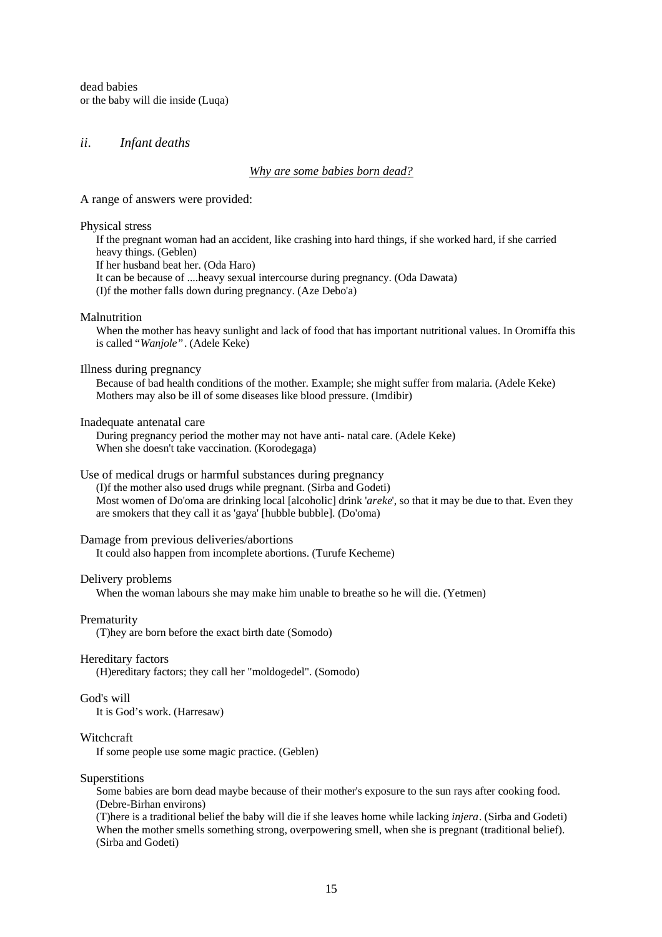dead babies or the baby will die inside (Luqa)

### *ii. Infant deaths*

#### *Why are some babies born dead?*

A range of answers were provided:

#### Physical stress

If the pregnant woman had an accident, like crashing into hard things, if she worked hard, if she carried heavy things. (Geblen) If her husband beat her. (Oda Haro) It can be because of ....heavy sexual intercourse during pregnancy. (Oda Dawata) (I)f the mother falls down during pregnancy. (Aze Debo'a)

#### Malnutrition

When the mother has heavy sunlight and lack of food that has important nutritional values. In Oromiffa this is called "*Wanjole"*. (Adele Keke)

Illness during pregnancy

Because of bad health conditions of the mother. Example; she might suffer from malaria. (Adele Keke) Mothers may also be ill of some diseases like blood pressure. (Imdibir)

Inadequate antenatal care

During pregnancy period the mother may not have anti- natal care. (Adele Keke) When she doesn't take vaccination. (Korodegaga)

Use of medical drugs or harmful substances during pregnancy

(I)f the mother also used drugs while pregnant. (Sirba and Godeti) Most women of Do'oma are drinking local [alcoholic] drink '*areke*', so that it may be due to that. Even they are smokers that they call it as 'gaya' [hubble bubble]. (Do'oma)

#### Damage from previous deliveries/abortions

It could also happen from incomplete abortions. (Turufe Kecheme)

#### Delivery problems

When the woman labours she may make him unable to breathe so he will die. (Yetmen)

#### **Prematurity**

(T)hey are born before the exact birth date (Somodo)

#### Hereditary factors

(H)ereditary factors; they call her "moldogedel". (Somodo)

#### God's will

It is God's work. (Harresaw)

#### Witchcraft

If some people use some magic practice. (Geblen)

#### Superstitions

Some babies are born dead maybe because of their mother's exposure to the sun rays after cooking food. (Debre-Birhan environs)

(T)here is a traditional belief the baby will die if she leaves home while lacking *injera*. (Sirba and Godeti) When the mother smells something strong, overpowering smell, when she is pregnant (traditional belief). (Sirba and Godeti)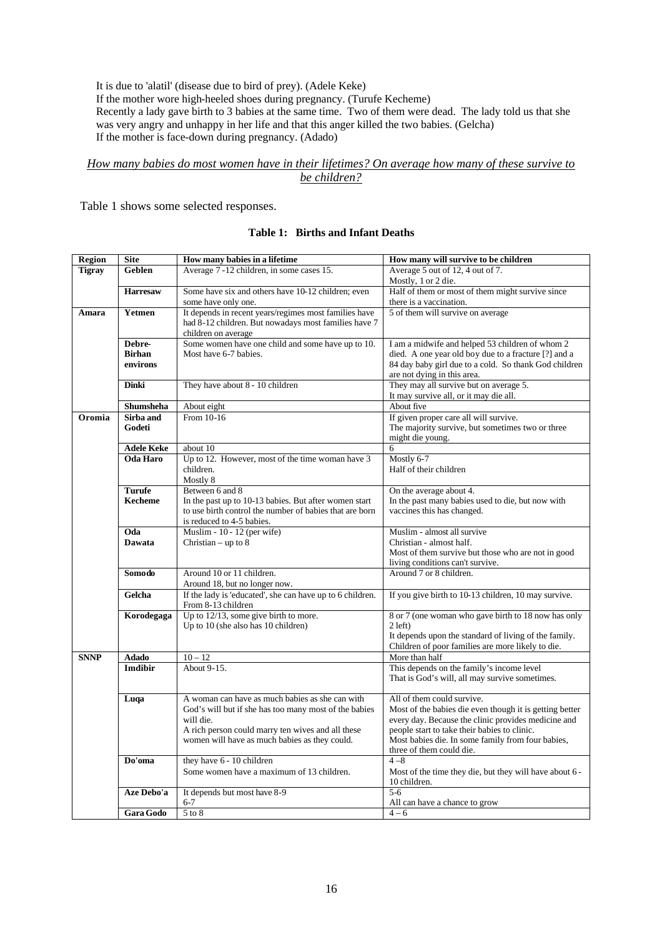It is due to 'alatil' (disease due to bird of prey). (Adele Keke) If the mother wore high-heeled shoes during pregnancy. (Turufe Kecheme) Recently a lady gave birth to 3 babies at the same time. Two of them were dead. The lady told us that she was very angry and unhappy in her life and that this anger killed the two babies. (Gelcha) If the mother is face-down during pregnancy. (Adado)

### *How many babies do most women have in their lifetimes? On average how many of these survive to be children?*

Table 1 shows some selected responses.

### **Table 1: Births and Infant Deaths**

| <b>Region</b> | <b>Site</b>       | How many babies in a lifetime                                                        | How many will survive to be children                                        |  |  |  |
|---------------|-------------------|--------------------------------------------------------------------------------------|-----------------------------------------------------------------------------|--|--|--|
| <b>Tigray</b> | Geblen            | Average 7-12 children, in some cases 15.                                             | Average 5 out of 12, 4 out of 7.                                            |  |  |  |
|               |                   |                                                                                      | Mostly, 1 or 2 die.                                                         |  |  |  |
|               | <b>Harresaw</b>   | Some have six and others have 10-12 children; even<br>some have only one.            | Half of them or most of them might survive since<br>there is a vaccination. |  |  |  |
| Amara         | Yetmen            | It depends in recent years/regimes most families have                                | 5 of them will survive on average                                           |  |  |  |
|               |                   | had 8-12 children. But nowadays most families have 7                                 |                                                                             |  |  |  |
|               |                   | children on average                                                                  |                                                                             |  |  |  |
|               | Debre-            | Some women have one child and some have up to 10.                                    | I am a midwife and helped 53 children of whom 2                             |  |  |  |
|               | <b>Birhan</b>     | Most have 6-7 babies.                                                                | died. A one year old boy due to a fracture [?] and a                        |  |  |  |
|               | environs          |                                                                                      | 84 day baby girl due to a cold. So thank God children                       |  |  |  |
|               |                   |                                                                                      | are not dying in this area.                                                 |  |  |  |
|               | <b>Dinki</b>      | They have about 8 - 10 children                                                      | They may all survive but on average 5.                                      |  |  |  |
|               | <b>Shumsheha</b>  |                                                                                      | It may survive all, or it may die all.<br>About five                        |  |  |  |
| Oromia        | Sirba and         | About eight<br>From 10-16                                                            | If given proper care all will survive.                                      |  |  |  |
|               | Godeti            |                                                                                      | The majority survive, but sometimes two or three                            |  |  |  |
|               |                   |                                                                                      | might die young.                                                            |  |  |  |
|               | <b>Adele Keke</b> | about 10                                                                             | 6                                                                           |  |  |  |
|               | Oda Haro          | Up to 12. However, most of the time woman have 3                                     | Mostly 6-7                                                                  |  |  |  |
|               |                   | children.                                                                            | Half of their children                                                      |  |  |  |
|               |                   | Mostly 8                                                                             |                                                                             |  |  |  |
|               | <b>Turufe</b>     | Between 6 and 8                                                                      | On the average about 4.                                                     |  |  |  |
|               | <b>Kecheme</b>    | In the past up to 10-13 babies. But after women start                                | In the past many babies used to die, but now with                           |  |  |  |
|               |                   | to use birth control the number of babies that are born<br>is reduced to 4-5 babies. | vaccines this has changed.                                                  |  |  |  |
|               | Oda               | Muslim - $10 - 12$ (per wife)                                                        | Muslim - almost all survive                                                 |  |  |  |
|               | <b>Dawata</b>     | Christian – up to $8$                                                                | Christian - almost half.                                                    |  |  |  |
|               |                   |                                                                                      | Most of them survive but those who are not in good                          |  |  |  |
|               |                   |                                                                                      | living conditions can't survive.                                            |  |  |  |
|               | Somodo            | Around 10 or 11 children.                                                            | Around 7 or 8 children.                                                     |  |  |  |
|               |                   | Around 18, but no longer now.                                                        |                                                                             |  |  |  |
|               | Gelcha            | If the lady is 'educated', she can have up to 6 children.                            | If you give birth to 10-13 children, 10 may survive.                        |  |  |  |
|               | Korodegaga        | From 8-13 children<br>Up to $12/13$ , some give birth to more.                       | 8 or 7 (one woman who gave birth to 18 now has only                         |  |  |  |
|               |                   | Up to 10 (she also has 10 children)                                                  | $2$ left)                                                                   |  |  |  |
|               |                   |                                                                                      | It depends upon the standard of living of the family.                       |  |  |  |
|               |                   |                                                                                      | Children of poor families are more likely to die.                           |  |  |  |
| <b>SNNP</b>   | Adado             | $10 - 12$                                                                            | More than half                                                              |  |  |  |
|               | Imdibir           | About 9-15.                                                                          | This depends on the family's income level                                   |  |  |  |
|               |                   |                                                                                      | That is God's will, all may survive sometimes.                              |  |  |  |
|               | Luqa              | A woman can have as much babies as she can with                                      | All of them could survive.                                                  |  |  |  |
|               |                   | God's will but if she has too many most of the babies                                | Most of the babies die even though it is getting better                     |  |  |  |
|               |                   | will die.                                                                            | every day. Because the clinic provides medicine and                         |  |  |  |
|               |                   | A rich person could marry ten wives and all these                                    | people start to take their babies to clinic.                                |  |  |  |
|               |                   | women will have as much babies as they could.                                        | Most babies die. In some family from four babies,                           |  |  |  |
|               |                   |                                                                                      | three of them could die.                                                    |  |  |  |
|               | Do'oma            | they have 6 - 10 children                                                            | $4 - 8$                                                                     |  |  |  |
|               |                   | Some women have a maximum of 13 children.                                            | Most of the time they die, but they will have about 6 -                     |  |  |  |
|               | Aze Debo'a        | It depends but most have 8-9                                                         | 10 children.<br>$5 - 6$                                                     |  |  |  |
|               |                   | $6 - 7$                                                                              | All can have a chance to grow                                               |  |  |  |
|               | <b>Gara Godo</b>  | $5$ to $8$                                                                           | $4 - 6$                                                                     |  |  |  |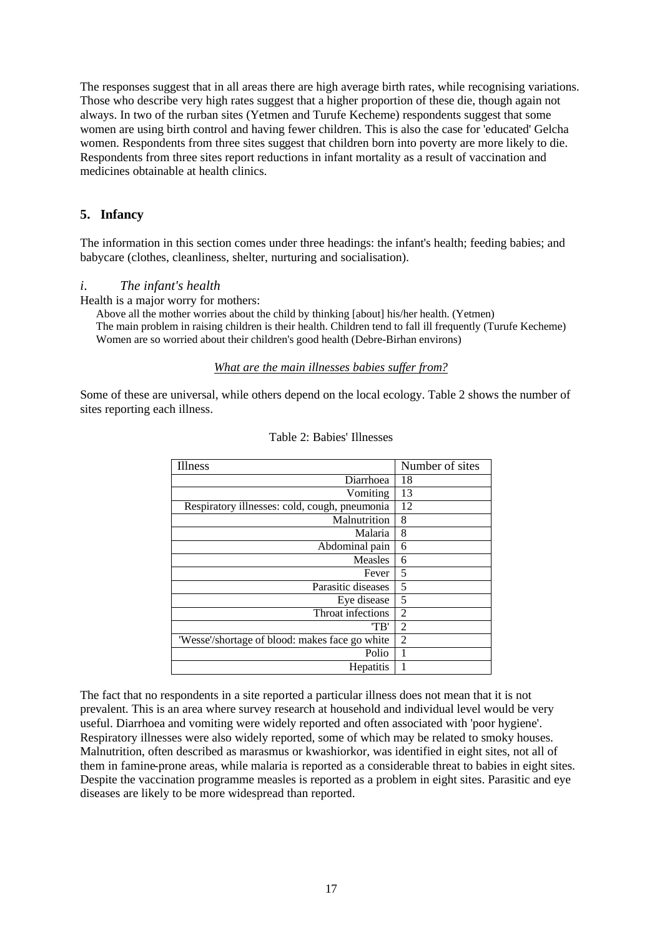The responses suggest that in all areas there are high average birth rates, while recognising variations. Those who describe very high rates suggest that a higher proportion of these die, though again not always. In two of the rurban sites (Yetmen and Turufe Kecheme) respondents suggest that some women are using birth control and having fewer children. This is also the case for 'educated' Gelcha women. Respondents from three sites suggest that children born into poverty are more likely to die. Respondents from three sites report reductions in infant mortality as a result of vaccination and medicines obtainable at health clinics.

## **5. Infancy**

The information in this section comes under three headings: the infant's health; feeding babies; and babycare (clothes, cleanliness, shelter, nurturing and socialisation).

### *i. The infant's health*

Health is a major worry for mothers:

Above all the mother worries about the child by thinking [about] his/her health. (Yetmen) The main problem in raising children is their health. Children tend to fall ill frequently (Turufe Kecheme) Women are so worried about their children's good health (Debre-Birhan environs)

### *What are the main illnesses babies suffer from?*

Some of these are universal, while others depend on the local ecology. Table 2 shows the number of sites reporting each illness.

| <b>Illness</b>                                 | Number of sites |
|------------------------------------------------|-----------------|
| Diarrhoea                                      | 18              |
| Vomiting                                       | 13              |
| Respiratory illnesses: cold, cough, pneumonia  | 12              |
| Malnutrition                                   | 8               |
| Malaria                                        | 8               |
| Abdominal pain                                 | 6               |
| Measles                                        | 6               |
| Fever                                          | 5               |
| Parasitic diseases                             | 5               |
| Eye disease                                    | 5               |
| Throat infections                              | $\overline{c}$  |
| "TB"                                           | $\overline{2}$  |
| 'Wesse'/shortage of blood: makes face go white | $\overline{c}$  |
| Polio                                          | 1               |
| Hepatitis                                      | 1               |

#### Table 2: Babies' Illnesses

The fact that no respondents in a site reported a particular illness does not mean that it is not prevalent. This is an area where survey research at household and individual level would be very useful. Diarrhoea and vomiting were widely reported and often associated with 'poor hygiene'. Respiratory illnesses were also widely reported, some of which may be related to smoky houses. Malnutrition, often described as marasmus or kwashiorkor, was identified in eight sites, not all of them in famine-prone areas, while malaria is reported as a considerable threat to babies in eight sites. Despite the vaccination programme measles is reported as a problem in eight sites. Parasitic and eye diseases are likely to be more widespread than reported.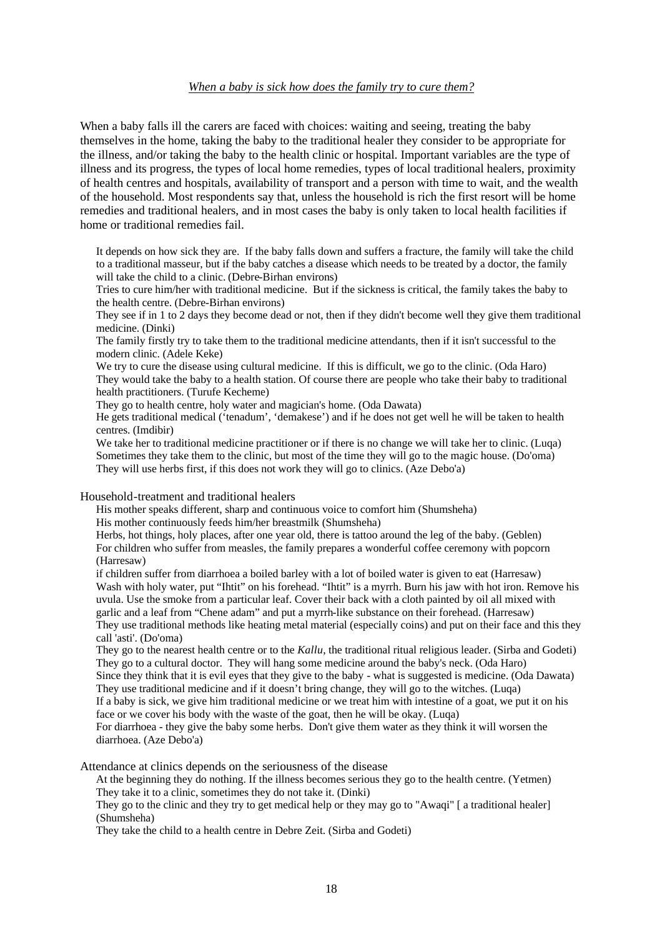### *When a baby is sick how does the family try to cure them?*

When a baby falls ill the carers are faced with choices: waiting and seeing, treating the baby themselves in the home, taking the baby to the traditional healer they consider to be appropriate for the illness, and/or taking the baby to the health clinic or hospital. Important variables are the type of illness and its progress, the types of local home remedies, types of local traditional healers, proximity of health centres and hospitals, availability of transport and a person with time to wait, and the wealth of the household. Most respondents say that, unless the household is rich the first resort will be home remedies and traditional healers, and in most cases the baby is only taken to local health facilities if home or traditional remedies fail.

It depends on how sick they are. If the baby falls down and suffers a fracture, the family will take the child to a traditional masseur, but if the baby catches a disease which needs to be treated by a doctor, the family will take the child to a clinic. (Debre-Birhan environs)

Tries to cure him/her with traditional medicine. But if the sickness is critical, the family takes the baby to the health centre. (Debre-Birhan environs)

They see if in 1 to 2 days they become dead or not, then if they didn't become well they give them traditional medicine. (Dinki)

The family firstly try to take them to the traditional medicine attendants, then if it isn't successful to the modern clinic. (Adele Keke)

We try to cure the disease using cultural medicine. If this is difficult, we go to the clinic. (Oda Haro) They would take the baby to a health station. Of course there are people who take their baby to traditional health practitioners. (Turufe Kecheme)

They go to health centre, holy water and magician's home. (Oda Dawata)

He gets traditional medical ('tenadum', 'demakese') and if he does not get well he will be taken to health centres. (Imdibir)

We take her to traditional medicine practitioner or if there is no change we will take her to clinic. (Luqa) Sometimes they take them to the clinic, but most of the time they will go to the magic house. (Do'oma) They will use herbs first, if this does not work they will go to clinics. (Aze Debo'a)

Household-treatment and traditional healers

His mother speaks different, sharp and continuous voice to comfort him (Shumsheha)

His mother continuously feeds him/her breastmilk (Shumsheha)

Herbs, hot things, holy places, after one year old, there is tattoo around the leg of the baby. (Geblen) For children who suffer from measles, the family prepares a wonderful coffee ceremony with popcorn (Harresaw)

if children suffer from diarrhoea a boiled barley with a lot of boiled water is given to eat (Harresaw) Wash with holy water, put "Ihtit" on his forehead. "Ihtit" is a myrrh. Burn his jaw with hot iron. Remove his uvula. Use the smoke from a particular leaf. Cover their back with a cloth painted by oil all mixed with garlic and a leaf from "Chene adam" and put a myrrh-like substance on their forehead. (Harresaw) They use traditional methods like heating metal material (especially coins) and put on their face and this they call 'asti'. (Do'oma)

They go to the nearest health centre or to the *Kallu*, the traditional ritual religious leader. (Sirba and Godeti) They go to a cultural doctor. They will hang some medicine around the baby's neck. (Oda Haro)

Since they think that it is evil eyes that they give to the baby - what is suggested is medicine. (Oda Dawata) They use traditional medicine and if it doesn't bring change, they will go to the witches. (Luqa)

If a baby is sick, we give him traditional medicine or we treat him with intestine of a goat, we put it on his face or we cover his body with the waste of the goat, then he will be okay. (Luqa)

For diarrhoea - they give the baby some herbs. Don't give them water as they think it will worsen the diarrhoea. (Aze Debo'a)

Attendance at clinics depends on the seriousness of the disease

At the beginning they do nothing. If the illness becomes serious they go to the health centre. (Yetmen) They take it to a clinic, sometimes they do not take it. (Dinki)

They go to the clinic and they try to get medical help or they may go to "Awaqi" [ a traditional healer] (Shumsheha)

They take the child to a health centre in Debre Zeit. (Sirba and Godeti)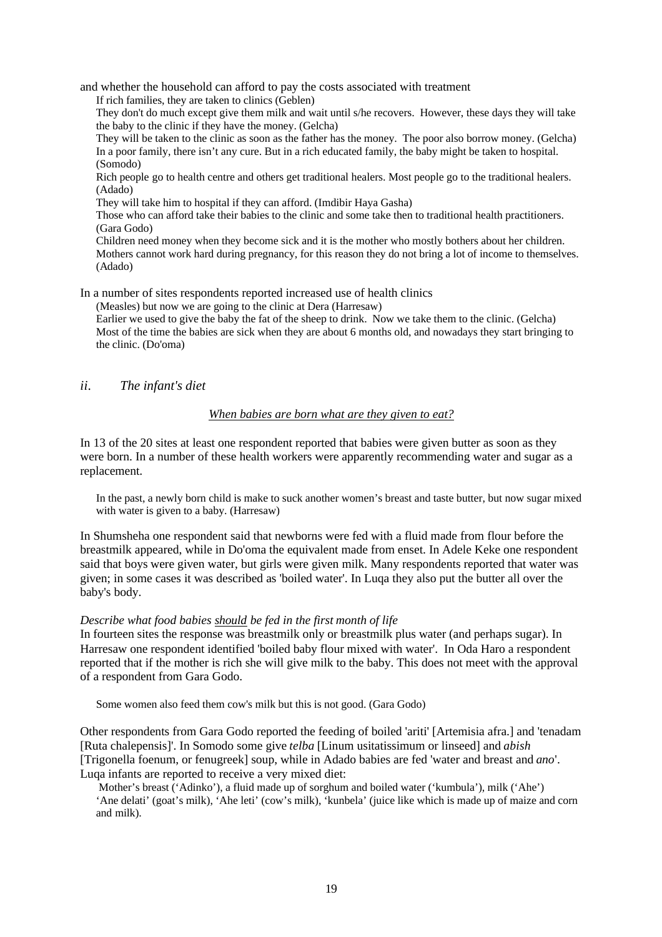and whether the household can afford to pay the costs associated with treatment

If rich families, they are taken to clinics (Geblen)

They don't do much except give them milk and wait until s/he recovers. However, these days they will take the baby to the clinic if they have the money. (Gelcha)

They will be taken to the clinic as soon as the father has the money. The poor also borrow money. (Gelcha) In a poor family, there isn't any cure. But in a rich educated family, the baby might be taken to hospital. (Somodo)

Rich people go to health centre and others get traditional healers. Most people go to the traditional healers. (Adado)

They will take him to hospital if they can afford. (Imdibir Haya Gasha)

Those who can afford take their babies to the clinic and some take then to traditional health practitioners. (Gara Godo)

Children need money when they become sick and it is the mother who mostly bothers about her children. Mothers cannot work hard during pregnancy, for this reason they do not bring a lot of income to themselves. (Adado)

In a number of sites respondents reported increased use of health clinics

(Measles) but now we are going to the clinic at Dera (Harresaw)

Earlier we used to give the baby the fat of the sheep to drink. Now we take them to the clinic. (Gelcha) Most of the time the babies are sick when they are about 6 months old, and nowadays they start bringing to the clinic. (Do'oma)

*ii. The infant's diet*

### *When babies are born what are they given to eat?*

In 13 of the 20 sites at least one respondent reported that babies were given butter as soon as they were born. In a number of these health workers were apparently recommending water and sugar as a replacement.

In the past, a newly born child is make to suck another women's breast and taste butter, but now sugar mixed with water is given to a baby. (Harresaw)

In Shumsheha one respondent said that newborns were fed with a fluid made from flour before the breastmilk appeared, while in Do'oma the equivalent made from enset. In Adele Keke one respondent said that boys were given water, but girls were given milk. Many respondents reported that water was given; in some cases it was described as 'boiled water'. In Luqa they also put the butter all over the baby's body.

### *Describe what food babies should be fed in the first month of life*

In fourteen sites the response was breastmilk only or breastmilk plus water (and perhaps sugar). In Harresaw one respondent identified 'boiled baby flour mixed with water'. In Oda Haro a respondent reported that if the mother is rich she will give milk to the baby. This does not meet with the approval of a respondent from Gara Godo.

Some women also feed them cow's milk but this is not good. (Gara Godo)

Other respondents from Gara Godo reported the feeding of boiled 'ariti' [Artemisia afra.] and 'tenadam [Ruta chalepensis]'. In Somodo some give *telba* [Linum usitatissimum or linseed] and *abish* [Trigonella foenum, or fenugreek] soup, while in Adado babies are fed 'water and breast and *ano*'. Luqa infants are reported to receive a very mixed diet:

 Mother's breast ('Adinko'), a fluid made up of sorghum and boiled water ('kumbula'), milk ('Ahe') 'Ane delati' (goat's milk), 'Ahe leti' (cow's milk), 'kunbela' (juice like which is made up of maize and corn and milk).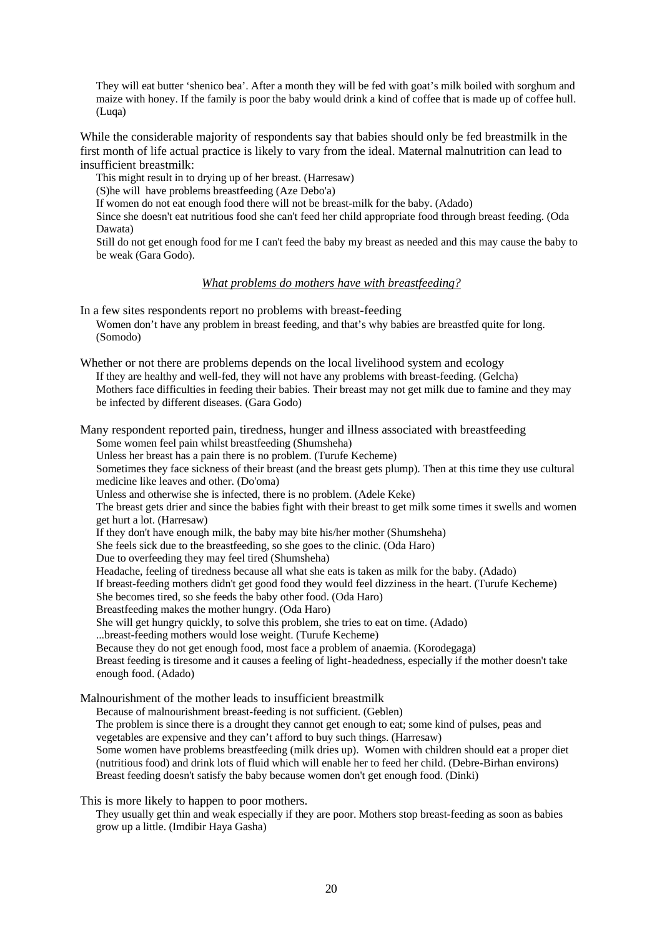They will eat butter 'shenico bea'. After a month they will be fed with goat's milk boiled with sorghum and maize with honey. If the family is poor the baby would drink a kind of coffee that is made up of coffee hull. (Luqa)

While the considerable majority of respondents say that babies should only be fed breastmilk in the first month of life actual practice is likely to vary from the ideal. Maternal malnutrition can lead to insufficient breastmilk:

This might result in to drying up of her breast. (Harresaw)

(S)he will have problems breastfeeding (Aze Debo'a)

If women do not eat enough food there will not be breast-milk for the baby. (Adado)

Since she doesn't eat nutritious food she can't feed her child appropriate food through breast feeding. (Oda Dawata)

Still do not get enough food for me I can't feed the baby my breast as needed and this may cause the baby to be weak (Gara Godo).

## *What problems do mothers have with breastfeeding?*

In a few sites respondents report no problems with breast-feeding Women don't have any problem in breast feeding, and that's why babies are breastfed quite for long. (Somodo)

Whether or not there are problems depends on the local livelihood system and ecology If they are healthy and well-fed, they will not have any problems with breast-feeding. (Gelcha) Mothers face difficulties in feeding their babies. Their breast may not get milk due to famine and they may be infected by different diseases. (Gara Godo)

Many respondent reported pain, tiredness, hunger and illness associated with breastfeeding Some women feel pain whilst breastfeeding (Shumsheha) Unless her breast has a pain there is no problem. (Turufe Kecheme) Sometimes they face sickness of their breast (and the breast gets plump). Then at this time they use cultural medicine like leaves and other. (Do'oma) Unless and otherwise she is infected, there is no problem. (Adele Keke) The breast gets drier and since the babies fight with their breast to get milk some times it swells and women get hurt a lot. (Harresaw) If they don't have enough milk, the baby may bite his/her mother (Shumsheha) She feels sick due to the breastfeeding, so she goes to the clinic. (Oda Haro) Due to overfeeding they may feel tired (Shumsheha) Headache, feeling of tiredness because all what she eats is taken as milk for the baby. (Adado) If breast-feeding mothers didn't get good food they would feel dizziness in the heart. (Turufe Kecheme) She becomes tired, so she feeds the baby other food. (Oda Haro) Breastfeeding makes the mother hungry. (Oda Haro) She will get hungry quickly, to solve this problem, she tries to eat on time. (Adado) ...breast-feeding mothers would lose weight. (Turufe Kecheme) Because they do not get enough food, most face a problem of anaemia. (Korodegaga) Breast feeding is tiresome and it causes a feeling of light-headedness, especially if the mother doesn't take enough food. (Adado) Malnourishment of the mother leads to insufficient breastmilk Because of malnourishment breast-feeding is not sufficient. (Geblen) The problem is since there is a drought they cannot get enough to eat; some kind of pulses, peas and

vegetables are expensive and they can't afford to buy such things. (Harresaw)

Some women have problems breastfeeding (milk dries up). Women with children should eat a proper diet (nutritious food) and drink lots of fluid which will enable her to feed her child. (Debre-Birhan environs) Breast feeding doesn't satisfy the baby because women don't get enough food. (Dinki)

This is more likely to happen to poor mothers.

They usually get thin and weak especially if they are poor. Mothers stop breast-feeding as soon as babies grow up a little. (Imdibir Haya Gasha)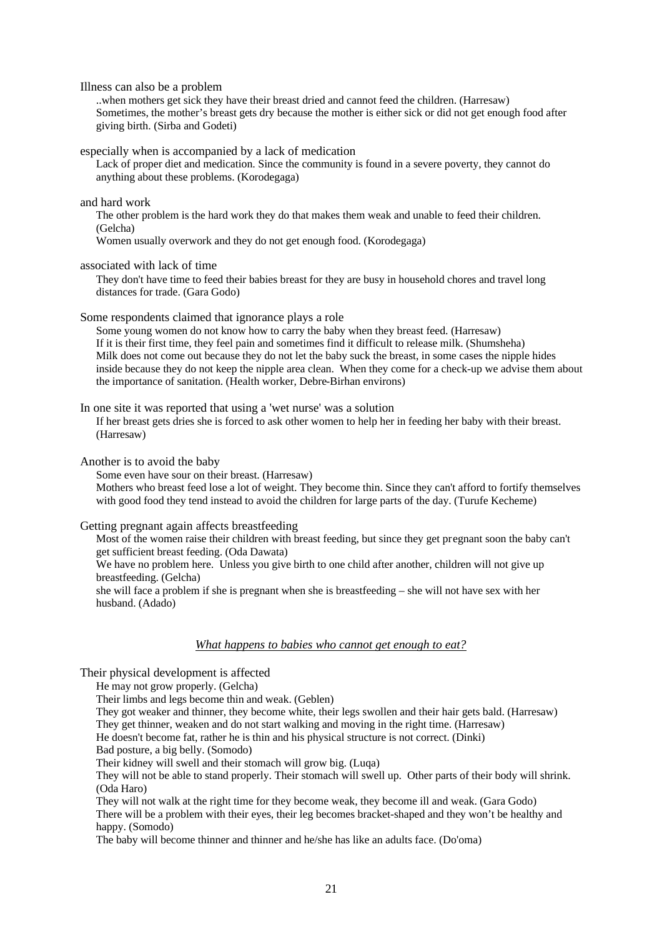Illness can also be a problem

..when mothers get sick they have their breast dried and cannot feed the children. (Harresaw) Sometimes, the mother's breast gets dry because the mother is either sick or did not get enough food after giving birth. (Sirba and Godeti)

especially when is accompanied by a lack of medication

Lack of proper diet and medication. Since the community is found in a severe poverty, they cannot do anything about these problems. (Korodegaga)

#### and hard work

The other problem is the hard work they do that makes them weak and unable to feed their children. (Gelcha)

Women usually overwork and they do not get enough food. (Korodegaga)

associated with lack of time

They don't have time to feed their babies breast for they are busy in household chores and travel long distances for trade. (Gara Godo)

Some respondents claimed that ignorance plays a role

Some young women do not know how to carry the baby when they breast feed. (Harresaw) If it is their first time, they feel pain and sometimes find it difficult to release milk. (Shumsheha) Milk does not come out because they do not let the baby suck the breast, in some cases the nipple hides inside because they do not keep the nipple area clean. When they come for a check-up we advise them about the importance of sanitation. (Health worker, Debre-Birhan environs)

In one site it was reported that using a 'wet nurse' was a solution

If her breast gets dries she is forced to ask other women to help her in feeding her baby with their breast. (Harresaw)

Another is to avoid the baby

Some even have sour on their breast. (Harresaw)

Mothers who breast feed lose a lot of weight. They become thin. Since they can't afford to fortify themselves with good food they tend instead to avoid the children for large parts of the day. (Turufe Kecheme)

Getting pregnant again affects breastfeeding

Most of the women raise their children with breast feeding, but since they get pregnant soon the baby can't get sufficient breast feeding. (Oda Dawata) We have no problem here. Unless you give birth to one child after another, children will not give up breastfeeding. (Gelcha) she will face a problem if she is pregnant when she is breastfeeding – she will not have sex with her husband. (Adado)

#### *What happens to babies who cannot get enough to eat?*

Their physical development is affected

He may not grow properly. (Gelcha)

Their limbs and legs become thin and weak. (Geblen)

They got weaker and thinner, they become white, their legs swollen and their hair gets bald. (Harresaw) They get thinner, weaken and do not start walking and moving in the right time. (Harresaw)

He doesn't become fat, rather he is thin and his physical structure is not correct. (Dinki)

Bad posture, a big belly. (Somodo)

Their kidney will swell and their stomach will grow big. (Luqa)

They will not be able to stand properly. Their stomach will swell up. Other parts of their body will shrink. (Oda Haro)

They will not walk at the right time for they become weak, they become ill and weak. (Gara Godo) There will be a problem with their eyes, their leg becomes bracket-shaped and they won't be healthy and happy. (Somodo)

The baby will become thinner and thinner and he/she has like an adults face. (Do'oma)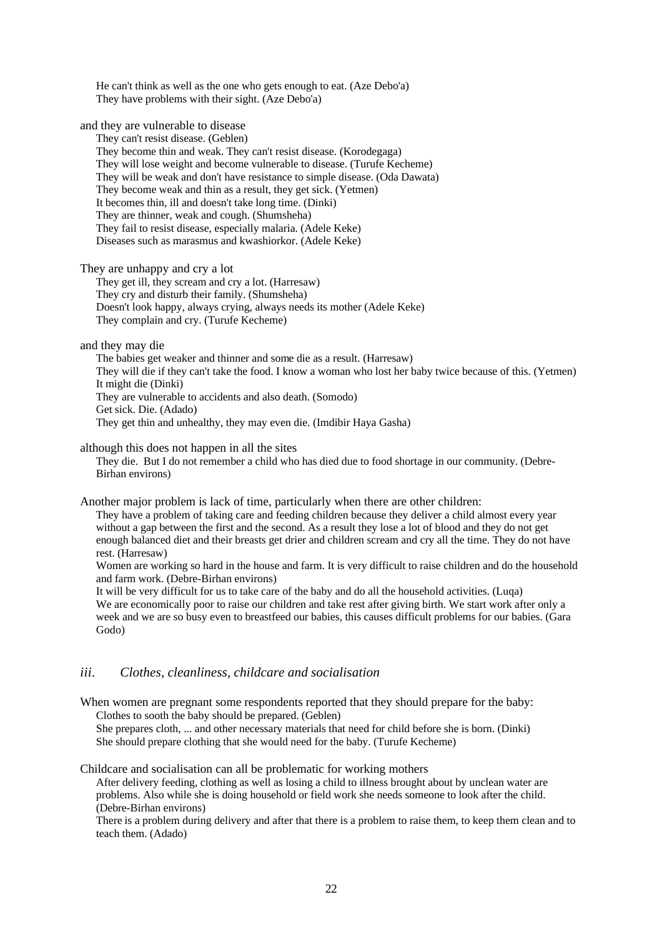He can't think as well as the one who gets enough to eat. (Aze Debo'a) They have problems with their sight. (Aze Debo'a)

and they are vulnerable to disease

They can't resist disease. (Geblen)

They become thin and weak. They can't resist disease. (Korodegaga) They will lose weight and become vulnerable to disease. (Turufe Kecheme) They will be weak and don't have resistance to simple disease. (Oda Dawata) They become weak and thin as a result, they get sick. (Yetmen) It becomes thin, ill and doesn't take long time. (Dinki) They are thinner, weak and cough. (Shumsheha) They fail to resist disease, especially malaria. (Adele Keke) Diseases such as marasmus and kwashiorkor. (Adele Keke)

They are unhappy and cry a lot

They get ill, they scream and cry a lot. (Harresaw) They cry and disturb their family. (Shumsheha) Doesn't look happy, always crying, always needs its mother (Adele Keke) They complain and cry. (Turufe Kecheme)

and they may die

The babies get weaker and thinner and some die as a result. (Harresaw) They will die if they can't take the food. I know a woman who lost her baby twice because of this. (Yetmen) It might die (Dinki) They are vulnerable to accidents and also death. (Somodo) Get sick. Die. (Adado) They get thin and unhealthy, they may even die. (Imdibir Haya Gasha)

although this does not happen in all the sites

They die. But I do not remember a child who has died due to food shortage in our community. (Debre-Birhan environs)

Another major problem is lack of time, particularly when there are other children:

They have a problem of taking care and feeding children because they deliver a child almost every year without a gap between the first and the second. As a result they lose a lot of blood and they do not get enough balanced diet and their breasts get drier and children scream and cry all the time. They do not have rest. (Harresaw)

Women are working so hard in the house and farm. It is very difficult to raise children and do the household and farm work. (Debre-Birhan environs)

It will be very difficult for us to take care of the baby and do all the household activities. (Luqa) We are economically poor to raise our children and take rest after giving birth. We start work after only a week and we are so busy even to breastfeed our babies, this causes difficult problems for our babies. (Gara Godo)

### *iii. Clothes, cleanliness, childcare and socialisation*

When women are pregnant some respondents reported that they should prepare for the baby: Clothes to sooth the baby should be prepared. (Geblen) She prepares cloth, ... and other necessary materials that need for child before she is born. (Dinki)

She should prepare clothing that she would need for the baby. (Turufe Kecheme)

Childcare and socialisation can all be problematic for working mothers

After delivery feeding, clothing as well as losing a child to illness brought about by unclean water are problems. Also while she is doing household or field work she needs someone to look after the child. (Debre-Birhan environs)

There is a problem during delivery and after that there is a problem to raise them, to keep them clean and to teach them. (Adado)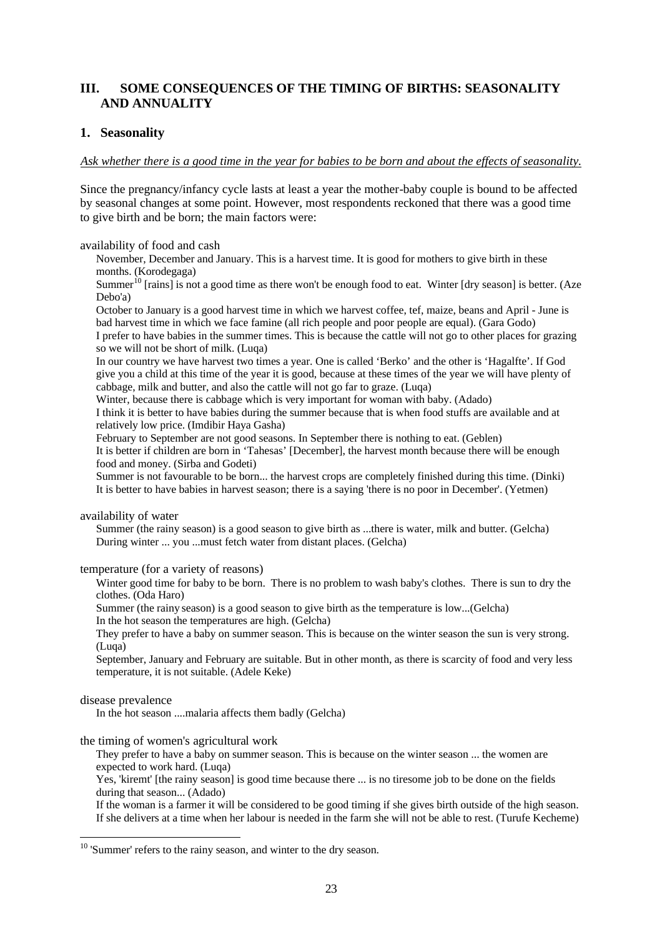# **III. SOME CONSEQUENCES OF THE TIMING OF BIRTHS: SEASONALITY AND ANNUALITY**

## **1. Seasonality**

### *Ask whether there is a good time in the year for babies to be born and about the effects of seasonality.*

Since the pregnancy/infancy cycle lasts at least a year the mother-baby couple is bound to be affected by seasonal changes at some point. However, most respondents reckoned that there was a good time to give birth and be born; the main factors were:

### availability of food and cash

November, December and January. This is a harvest time. It is good for mothers to give birth in these months. (Korodegaga)

Summer<sup>10</sup> [rains] is not a good time as there won't be enough food to eat. Winter [dry season] is better. (Aze Debo'a)

October to January is a good harvest time in which we harvest coffee, tef, maize, beans and April - June is bad harvest time in which we face famine (all rich people and poor people are equal). (Gara Godo)

I prefer to have babies in the summer times. This is because the cattle will not go to other places for grazing so we will not be short of milk. (Luqa)

In our country we have harvest two times a year. One is called 'Berko' and the other is 'Hagalfte'. If God give you a child at this time of the year it is good, because at these times of the year we will have plenty of cabbage, milk and butter, and also the cattle will not go far to graze. (Luqa)

Winter, because there is cabbage which is very important for woman with baby. (Adado)

I think it is better to have babies during the summer because that is when food stuffs are available and at relatively low price. (Imdibir Haya Gasha)

February to September are not good seasons. In September there is nothing to eat. (Geblen)

It is better if children are born in 'Tahesas' [December], the harvest month because there will be enough food and money. (Sirba and Godeti)

Summer is not favourable to be born... the harvest crops are completely finished during this time. (Dinki) It is better to have babies in harvest season; there is a saying 'there is no poor in December'. (Yetmen)

### availability of water

Summer (the rainy season) is a good season to give birth as ...there is water, milk and butter. (Gelcha) During winter ... you ...must fetch water from distant places. (Gelcha)

### temperature (for a variety of reasons)

Winter good time for baby to be born. There is no problem to wash baby's clothes. There is sun to dry the clothes. (Oda Haro)

Summer (the rainy season) is a good season to give birth as the temperature is low...(Gelcha)

In the hot season the temperatures are high. (Gelcha)

They prefer to have a baby on summer season. This is because on the winter season the sun is very strong. (Luqa)

September, January and February are suitable. But in other month, as there is scarcity of food and very less temperature, it is not suitable. (Adele Keke)

### disease prevalence

l

In the hot season ....malaria affects them badly (Gelcha)

### the timing of women's agricultural work

They prefer to have a baby on summer season. This is because on the winter season ... the women are expected to work hard. (Luqa)

Yes, 'kiremt' [the rainy season] is good time because there ... is no tiresome job to be done on the fields during that season... (Adado)

If the woman is a farmer it will be considered to be good timing if she gives birth outside of the high season. If she delivers at a time when her labour is needed in the farm she will not be able to rest. (Turufe Kecheme)

<sup>&</sup>lt;sup>10</sup> 'Summer' refers to the rainy season, and winter to the dry season.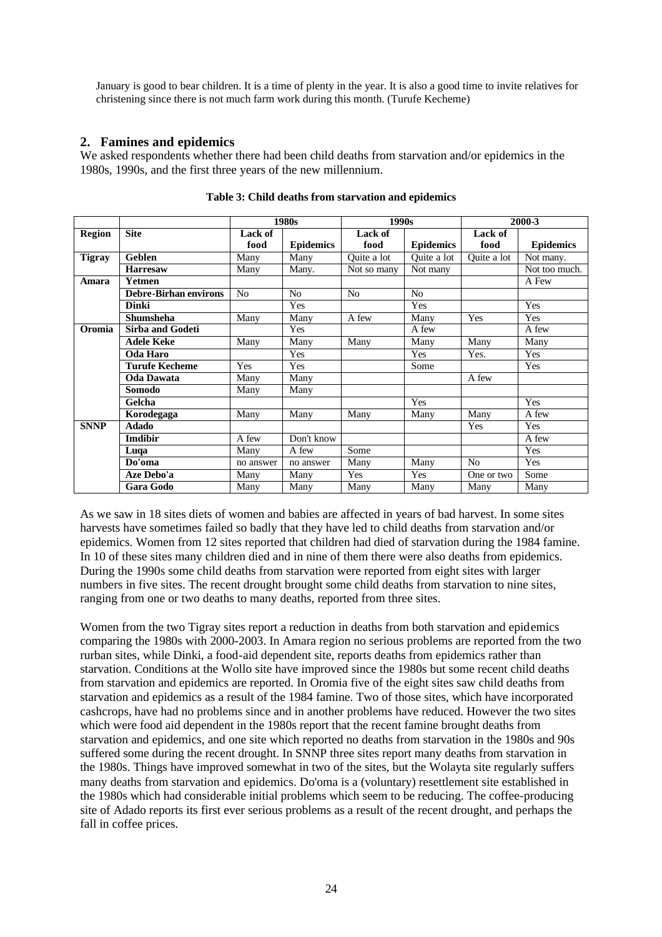January is good to bear children. It is a time of plenty in the year. It is also a good time to invite relatives for christening since there is not much farm work during this month. (Turufe Kecheme)

## **2. Famines and epidemics**

We asked respondents whether there had been child deaths from starvation and/or epidemics in the 1980s, 1990s, and the first three years of the new millennium.

|               |                              | 1980s          |                  | 1990s                                |                  | 2000-3         |                  |
|---------------|------------------------------|----------------|------------------|--------------------------------------|------------------|----------------|------------------|
| <b>Region</b> | <b>Site</b>                  | Lack of        |                  | <b>Lack of</b>                       |                  | Lack of        |                  |
|               |                              | food           | <b>Epidemics</b> | food                                 | <b>Epidemics</b> | food           | <b>Epidemics</b> |
| <b>Tigray</b> | <b>Geblen</b>                |                | Many             | $\overline{Qu}$ ite a $\overline{a}$ | Quite a lot      | Quite a lot    | Not many.        |
|               | <b>Harresaw</b>              | Many           | Many.            | Not so many                          | Not many         |                | Not too much.    |
| Amara         | <b>Yetmen</b>                |                |                  |                                      |                  |                | A Few            |
|               | <b>Debre-Birhan environs</b> | N <sub>0</sub> | N <sub>o</sub>   | N <sub>o</sub>                       | No               |                |                  |
|               | <b>Dinki</b>                 |                | Yes              |                                      | Yes              |                | Yes              |
|               | <b>Shumsheha</b>             | Many           | Many             | A few                                | Many             | Yes            | Yes              |
| Oromia        | <b>Sirba and Godeti</b>      |                | Yes              |                                      | A few            |                | A few            |
|               | <b>Adele Keke</b>            | Many           | Many             | Many                                 | Many             | Many           | Many             |
|               | Oda Haro                     |                | Yes              |                                      | Yes              | Yes.           | Yes              |
|               | <b>Turufe Kecheme</b>        | Yes            | Yes              |                                      | Some             |                | Yes              |
|               | <b>Oda Dawata</b>            | Many           | Many             |                                      |                  | A few          |                  |
|               | Somodo                       | Many           | Many             |                                      |                  |                |                  |
|               | Gelcha                       |                |                  |                                      | Yes              |                | Yes              |
|               | Korodegaga                   | Many           | Many             | Many                                 | Many             | Many           | A few            |
| <b>SNNP</b>   | <b>Adado</b>                 |                |                  |                                      |                  | Yes            | Yes              |
|               | <b>Imdibir</b>               | A few          | Don't know       |                                      |                  |                | A few            |
|               | Luqa                         | Many           | A few            | Some                                 |                  |                | Yes              |
|               | Do'oma                       | no answer      | no answer        | Many                                 | Many             | N <sub>o</sub> | <b>Yes</b>       |
|               | Aze Debo'a                   | Many           | Many             | Yes                                  | Yes              | One or two     | Some             |
|               | <b>Gara Godo</b>             | Many           | Many             | Many                                 | Many             | Many           | Many             |

**Table 3: Child deaths from starvation and epidemics** 

As we saw in 18 sites diets of women and babies are affected in years of bad harvest. In some sites harvests have sometimes failed so badly that they have led to child deaths from starvation and/or epidemics. Women from 12 sites reported that children had died of starvation during the 1984 famine. In 10 of these sites many children died and in nine of them there were also deaths from epidemics. During the 1990s some child deaths from starvation were reported from eight sites with larger numbers in five sites. The recent drought brought some child deaths from starvation to nine sites, ranging from one or two deaths to many deaths, reported from three sites.

Women from the two Tigray sites report a reduction in deaths from both starvation and epidemics comparing the 1980s with 2000-2003. In Amara region no serious problems are reported from the two rurban sites, while Dinki, a food-aid dependent site, reports deaths from epidemics rather than starvation. Conditions at the Wollo site have improved since the 1980s but some recent child deaths from starvation and epidemics are reported. In Oromia five of the eight sites saw child deaths from starvation and epidemics as a result of the 1984 famine. Two of those sites, which have incorporated cashcrops, have had no problems since and in another problems have reduced. However the two sites which were food aid dependent in the 1980s report that the recent famine brought deaths from starvation and epidemics, and one site which reported no deaths from starvation in the 1980s and 90s suffered some during the recent drought. In SNNP three sites report many deaths from starvation in the 1980s. Things have improved somewhat in two of the sites, but the Wolayta site regularly suffers many deaths from starvation and epidemics. Do'oma is a (voluntary) resettlement site established in the 1980s which had considerable initial problems which seem to be reducing. The coffee-producing site of Adado reports its first ever serious problems as a result of the recent drought, and perhaps the fall in coffee prices.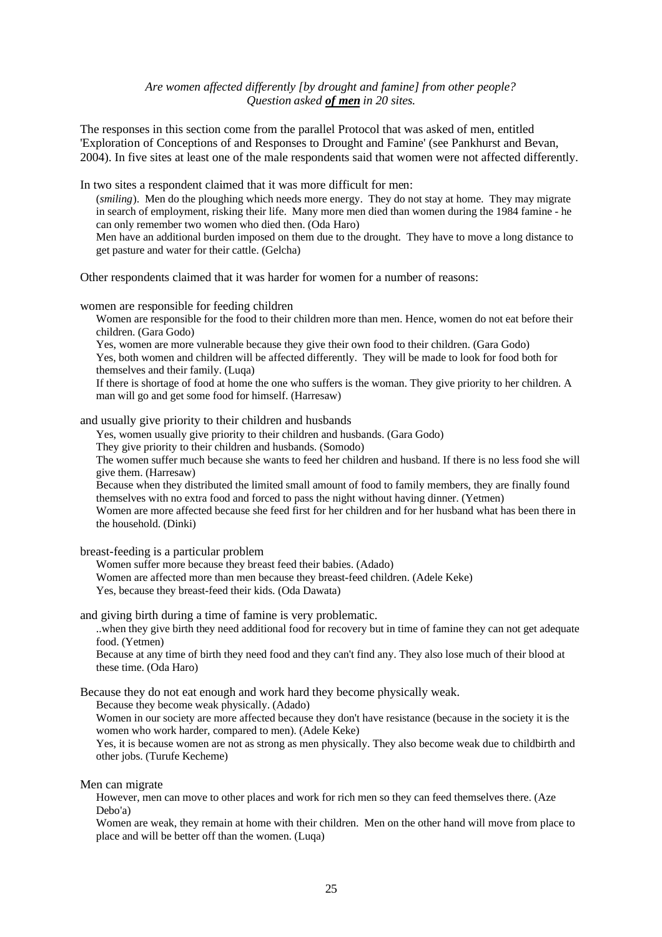### *Are women affected differently [by drought and famine] from other people? Question asked of men in 20 sites.*

The responses in this section come from the parallel Protocol that was asked of men, entitled 'Exploration of Conceptions of and Responses to Drought and Famine' (see Pankhurst and Bevan, 2004). In five sites at least one of the male respondents said that women were not affected differently.

In two sites a respondent claimed that it was more difficult for men:

(*smiling*). Men do the ploughing which needs more energy. They do not stay at home. They may migrate in search of employment, risking their life. Many more men died than women during the 1984 famine - he can only remember two women who died then. (Oda Haro)

Men have an additional burden imposed on them due to the drought. They have to move a long distance to get pasture and water for their cattle. (Gelcha)

Other respondents claimed that it was harder for women for a number of reasons:

women are responsible for feeding children

Women are responsible for the food to their children more than men. Hence, women do not eat before their children. (Gara Godo)

Yes, women are more vulnerable because they give their own food to their children. (Gara Godo) Yes, both women and children will be affected differently. They will be made to look for food both for themselves and their family. (Luqa)

If there is shortage of food at home the one who suffers is the woman. They give priority to her children. A man will go and get some food for himself. (Harresaw)

and usually give priority to their children and husbands

Yes, women usually give priority to their children and husbands. (Gara Godo)

They give priority to their children and husbands. (Somodo)

The women suffer much because she wants to feed her children and husband. If there is no less food she will give them. (Harresaw)

Because when they distributed the limited small amount of food to family members, they are finally found themselves with no extra food and forced to pass the night without having dinner. (Yetmen)

Women are more affected because she feed first for her children and for her husband what has been there in the household. (Dinki)

breast-feeding is a particular problem

Women suffer more because they breast feed their babies. (Adado) Women are affected more than men because they breast-feed children. (Adele Keke) Yes, because they breast-feed their kids. (Oda Dawata)

and giving birth during a time of famine is very problematic.

..when they give birth they need additional food for recovery but in time of famine they can not get adequate food. (Yetmen)

Because at any time of birth they need food and they can't find any. They also lose much of their blood at these time. (Oda Haro)

Because they do not eat enough and work hard they become physically weak.

Because they become weak physically. (Adado)

Women in our society are more affected because they don't have resistance (because in the society it is the women who work harder, compared to men). (Adele Keke)

Yes, it is because women are not as strong as men physically. They also become weak due to childbirth and other jobs. (Turufe Kecheme)

Men can migrate

However, men can move to other places and work for rich men so they can feed themselves there. (Aze Debo'a)

Women are weak, they remain at home with their children. Men on the other hand will move from place to place and will be better off than the women. (Luqa)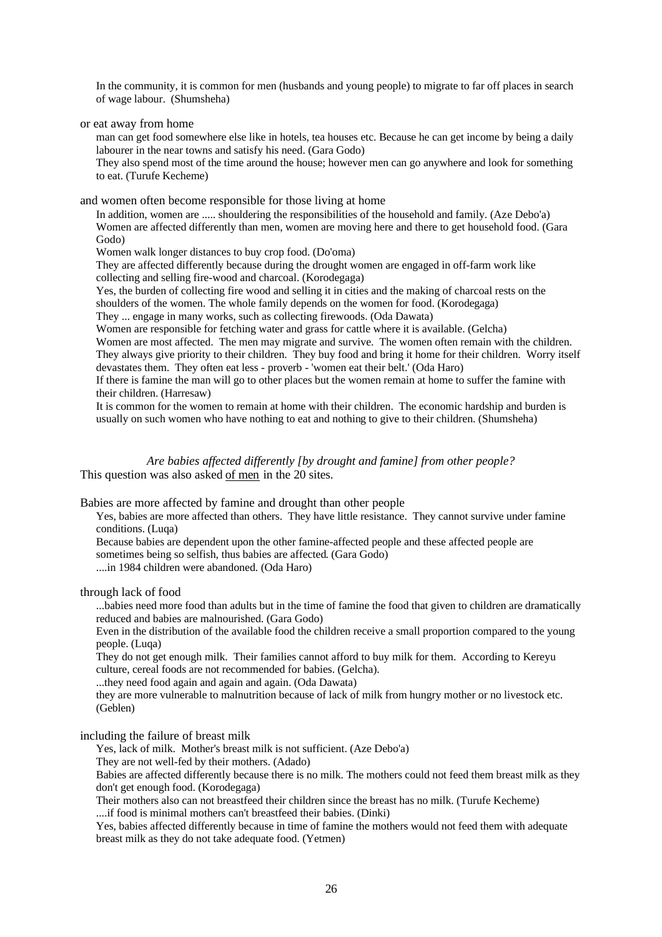In the community, it is common for men (husbands and young people) to migrate to far off places in search of wage labour. (Shumsheha)

or eat away from home

man can get food somewhere else like in hotels, tea houses etc. Because he can get income by being a daily labourer in the near towns and satisfy his need. (Gara Godo)

They also spend most of the time around the house; however men can go anywhere and look for something to eat. (Turufe Kecheme)

and women often become responsible for those living at home

In addition, women are ..... shouldering the responsibilities of the household and family. (Aze Debo'a) Women are affected differently than men, women are moving here and there to get household food. (Gara Godo)

Women walk longer distances to buy crop food. (Do'oma)

They are affected differently because during the drought women are engaged in off-farm work like collecting and selling fire-wood and charcoal. (Korodegaga)

Yes, the burden of collecting fire wood and selling it in cities and the making of charcoal rests on the shoulders of the women. The whole family depends on the women for food. (Korodegaga)

They ... engage in many works, such as collecting firewoods. (Oda Dawata)

Women are responsible for fetching water and grass for cattle where it is available. (Gelcha)

Women are most affected. The men may migrate and survive. The women often remain with the children.

They always give priority to their children. They buy food and bring it home for their children. Worry itself devastates them. They often eat less - proverb - 'women eat their belt.' (Oda Haro)

If there is famine the man will go to other places but the women remain at home to suffer the famine with their children. (Harresaw)

It is common for the women to remain at home with their children. The economic hardship and burden is usually on such women who have nothing to eat and nothing to give to their children. (Shumsheha)

*Are babies affected differently [by drought and famine] from other people?* This question was also asked of men in the 20 sites.

Babies are more affected by famine and drought than other people

Yes, babies are more affected than others. They have little resistance. They cannot survive under famine conditions. (Luqa)

Because babies are dependent upon the other famine-affected people and these affected people are sometimes being so selfish, thus babies are affected. (Gara Godo)

....in 1984 children were abandoned. (Oda Haro)

through lack of food

...babies need more food than adults but in the time of famine the food that given to children are dramatically reduced and babies are malnourished. (Gara Godo)

Even in the distribution of the available food the children receive a small proportion compared to the young people. (Luqa)

They do not get enough milk. Their families cannot afford to buy milk for them. According to Kereyu culture, cereal foods are not recommended for babies. (Gelcha).

...they need food again and again and again. (Oda Dawata)

they are more vulnerable to malnutrition because of lack of milk from hungry mother or no livestock etc. (Geblen)

including the failure of breast milk

Yes, lack of milk. Mother's breast milk is not sufficient. (Aze Debo'a)

They are not well-fed by their mothers. (Adado)

Babies are affected differently because there is no milk. The mothers could not feed them breast milk as they don't get enough food. (Korodegaga)

Their mothers also can not breastfeed their children since the breast has no milk. (Turufe Kecheme) ....if food is minimal mothers can't breastfeed their babies. (Dinki)

Yes, babies affected differently because in time of famine the mothers would not feed them with adequate breast milk as they do not take adequate food. (Yetmen)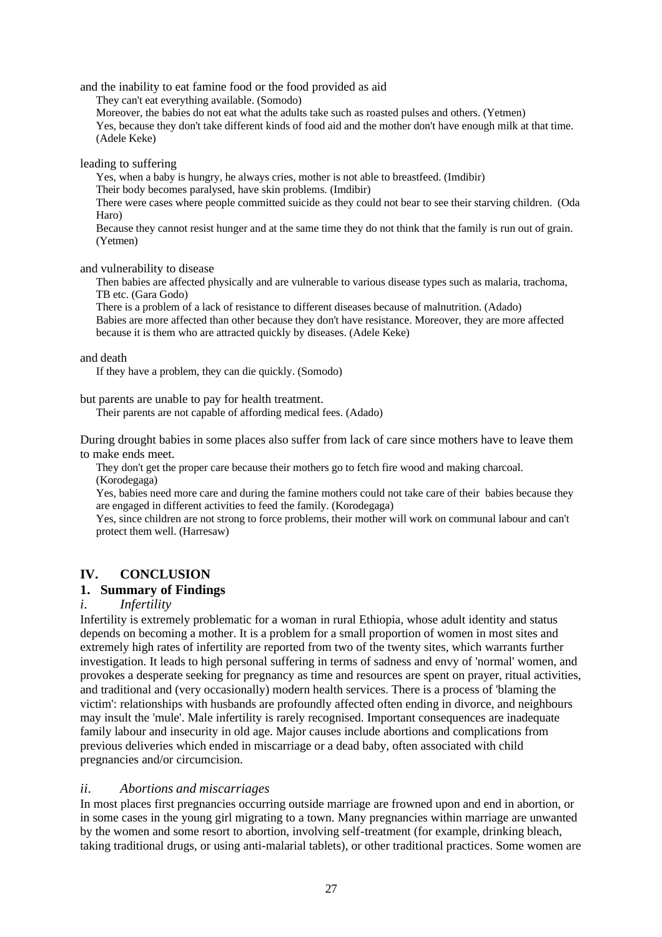and the inability to eat famine food or the food provided as aid

They can't eat everything available. (Somodo)

Moreover, the babies do not eat what the adults take such as roasted pulses and others. (Yetmen) Yes, because they don't take different kinds of food aid and the mother don't have enough milk at that time. (Adele Keke)

leading to suffering

Yes, when a baby is hungry, he always cries, mother is not able to breastfeed. (Imdibir)

Their body becomes paralysed, have skin problems. (Imdibir)

There were cases where people committed suicide as they could not bear to see their starving children. (Oda Haro)

Because they cannot resist hunger and at the same time they do not think that the family is run out of grain. (Yetmen)

and vulnerability to disease

Then babies are affected physically and are vulnerable to various disease types such as malaria, trachoma, TB etc. (Gara Godo)

There is a problem of a lack of resistance to different diseases because of malnutrition. (Adado) Babies are more affected than other because they don't have resistance. Moreover, they are more affected because it is them who are attracted quickly by diseases. (Adele Keke)

### and death

If they have a problem, they can die quickly. (Somodo)

but parents are unable to pay for health treatment.

Their parents are not capable of affording medical fees. (Adado)

During drought babies in some places also suffer from lack of care since mothers have to leave them to make ends meet.

They don't get the proper care because their mothers go to fetch fire wood and making charcoal. (Korodegaga)

Yes, babies need more care and during the famine mothers could not take care of their babies because they are engaged in different activities to feed the family. (Korodegaga)

Yes, since children are not strong to force problems, their mother will work on communal labour and can't protect them well. (Harresaw)

# **IV. CONCLUSION**

# **1. Summary of Findings**

# *i. Infertility*

Infertility is extremely problematic for a woman in rural Ethiopia, whose adult identity and status depends on becoming a mother. It is a problem for a small proportion of women in most sites and extremely high rates of infertility are reported from two of the twenty sites, which warrants further investigation. It leads to high personal suffering in terms of sadness and envy of 'normal' women, and provokes a desperate seeking for pregnancy as time and resources are spent on prayer, ritual activities, and traditional and (very occasionally) modern health services. There is a process of 'blaming the victim': relationships with husbands are profoundly affected often ending in divorce, and neighbours may insult the 'mule'. Male infertility is rarely recognised. Important consequences are inadequate family labour and insecurity in old age. Major causes include abortions and complications from previous deliveries which ended in miscarriage or a dead baby, often associated with child pregnancies and/or circumcision.

# *ii. Abortions and miscarriages*

In most places first pregnancies occurring outside marriage are frowned upon and end in abortion, or in some cases in the young girl migrating to a town. Many pregnancies within marriage are unwanted by the women and some resort to abortion, involving self-treatment (for example, drinking bleach, taking traditional drugs, or using anti-malarial tablets), or other traditional practices. Some women are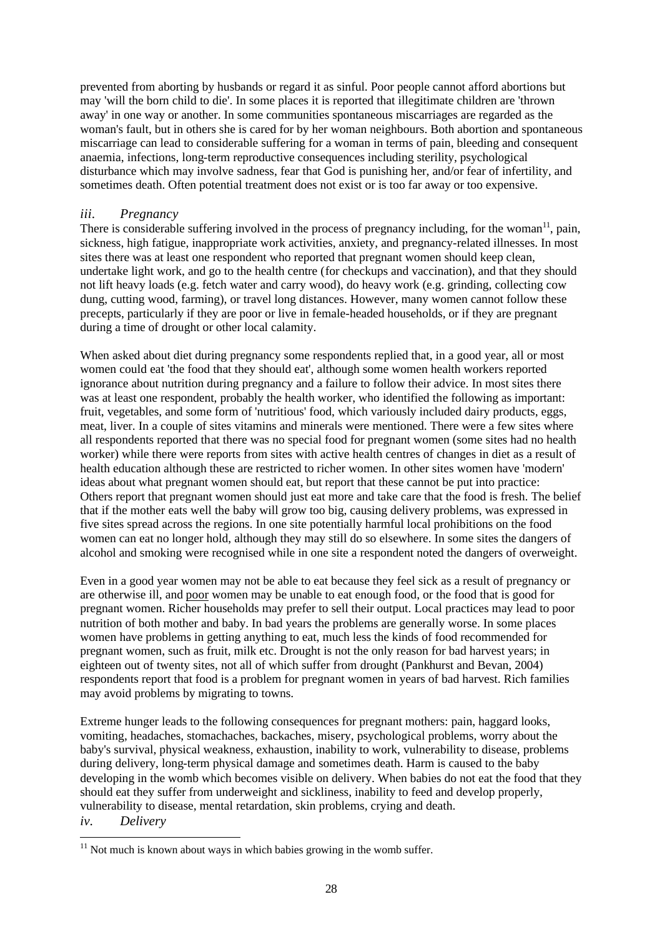prevented from aborting by husbands or regard it as sinful. Poor people cannot afford abortions but may 'will the born child to die'. In some places it is reported that illegitimate children are 'thrown away' in one way or another. In some communities spontaneous miscarriages are regarded as the woman's fault, but in others she is cared for by her woman neighbours. Both abortion and spontaneous miscarriage can lead to considerable suffering for a woman in terms of pain, bleeding and consequent anaemia, infections, long-term reproductive consequences including sterility, psychological disturbance which may involve sadness, fear that God is punishing her, and/or fear of infertility, and sometimes death. Often potential treatment does not exist or is too far away or too expensive.

## *iii. Pregnancy*

There is considerable suffering involved in the process of pregnancy including, for the woman<sup>11</sup>, pain, sickness, high fatigue, inappropriate work activities, anxiety, and pregnancy-related illnesses. In most sites there was at least one respondent who reported that pregnant women should keep clean, undertake light work, and go to the health centre (for checkups and vaccination), and that they should not lift heavy loads (e.g. fetch water and carry wood), do heavy work (e.g. grinding, collecting cow dung, cutting wood, farming), or travel long distances. However, many women cannot follow these precepts, particularly if they are poor or live in female-headed households, or if they are pregnant during a time of drought or other local calamity.

When asked about diet during pregnancy some respondents replied that, in a good year, all or most women could eat 'the food that they should eat', although some women health workers reported ignorance about nutrition during pregnancy and a failure to follow their advice. In most sites there was at least one respondent, probably the health worker, who identified the following as important: fruit, vegetables, and some form of 'nutritious' food, which variously included dairy products, eggs, meat, liver. In a couple of sites vitamins and minerals were mentioned. There were a few sites where all respondents reported that there was no special food for pregnant women (some sites had no health worker) while there were reports from sites with active health centres of changes in diet as a result of health education although these are restricted to richer women. In other sites women have 'modern' ideas about what pregnant women should eat, but report that these cannot be put into practice: Others report that pregnant women should just eat more and take care that the food is fresh. The belief that if the mother eats well the baby will grow too big, causing delivery problems, was expressed in five sites spread across the regions. In one site potentially harmful local prohibitions on the food women can eat no longer hold, although they may still do so elsewhere. In some sites the dangers of alcohol and smoking were recognised while in one site a respondent noted the dangers of overweight.

Even in a good year women may not be able to eat because they feel sick as a result of pregnancy or are otherwise ill, and poor women may be unable to eat enough food, or the food that is good for pregnant women. Richer households may prefer to sell their output. Local practices may lead to poor nutrition of both mother and baby. In bad years the problems are generally worse. In some places women have problems in getting anything to eat, much less the kinds of food recommended for pregnant women, such as fruit, milk etc. Drought is not the only reason for bad harvest years; in eighteen out of twenty sites, not all of which suffer from drought (Pankhurst and Bevan, 2004) respondents report that food is a problem for pregnant women in years of bad harvest. Rich families may avoid problems by migrating to towns.

Extreme hunger leads to the following consequences for pregnant mothers: pain, haggard looks, vomiting, headaches, stomachaches, backaches, misery, psychological problems, worry about the baby's survival, physical weakness, exhaustion, inability to work, vulnerability to disease, problems during delivery, long-term physical damage and sometimes death. Harm is caused to the baby developing in the womb which becomes visible on delivery. When babies do not eat the food that they should eat they suffer from underweight and sickliness, inability to feed and develop properly, vulnerability to disease, mental retardation, skin problems, crying and death.

*iv. Delivery* l

 $11$  Not much is known about ways in which babies growing in the womb suffer.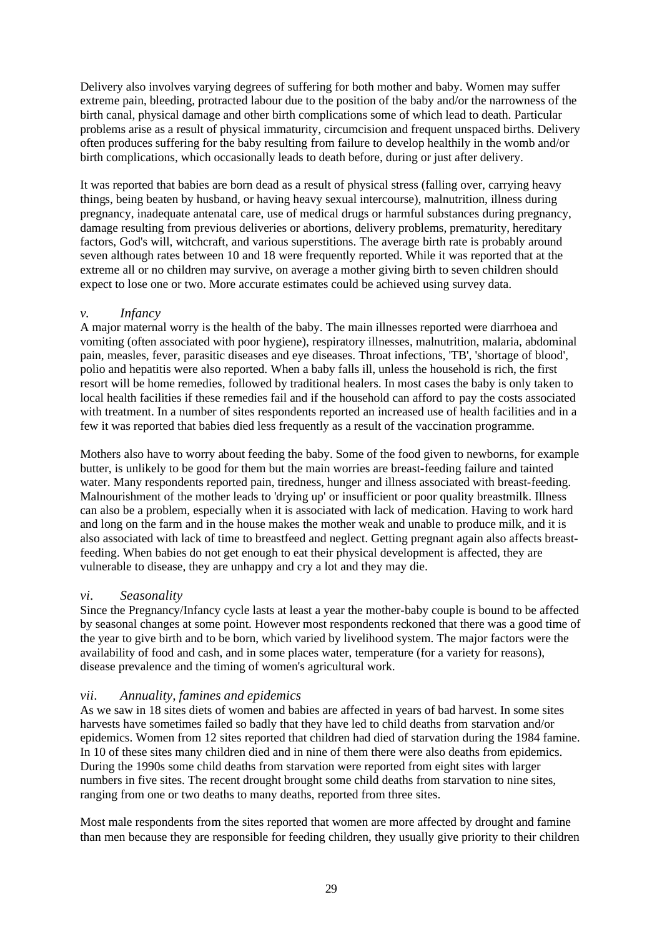Delivery also involves varying degrees of suffering for both mother and baby. Women may suffer extreme pain, bleeding, protracted labour due to the position of the baby and/or the narrowness of the birth canal, physical damage and other birth complications some of which lead to death. Particular problems arise as a result of physical immaturity, circumcision and frequent unspaced births. Delivery often produces suffering for the baby resulting from failure to develop healthily in the womb and/or birth complications, which occasionally leads to death before, during or just after delivery.

It was reported that babies are born dead as a result of physical stress (falling over, carrying heavy things, being beaten by husband, or having heavy sexual intercourse), malnutrition, illness during pregnancy, inadequate antenatal care, use of medical drugs or harmful substances during pregnancy, damage resulting from previous deliveries or abortions, delivery problems, prematurity, hereditary factors, God's will, witchcraft, and various superstitions. The average birth rate is probably around seven although rates between 10 and 18 were frequently reported. While it was reported that at the extreme all or no children may survive, on average a mother giving birth to seven children should expect to lose one or two. More accurate estimates could be achieved using survey data.

# *v. Infancy*

A major maternal worry is the health of the baby. The main illnesses reported were diarrhoea and vomiting (often associated with poor hygiene), respiratory illnesses, malnutrition, malaria, abdominal pain, measles, fever, parasitic diseases and eye diseases. Throat infections, 'TB', 'shortage of blood', polio and hepatitis were also reported. When a baby falls ill, unless the household is rich, the first resort will be home remedies, followed by traditional healers. In most cases the baby is only taken to local health facilities if these remedies fail and if the household can afford to pay the costs associated with treatment. In a number of sites respondents reported an increased use of health facilities and in a few it was reported that babies died less frequently as a result of the vaccination programme.

Mothers also have to worry about feeding the baby. Some of the food given to newborns, for example butter, is unlikely to be good for them but the main worries are breast-feeding failure and tainted water. Many respondents reported pain, tiredness, hunger and illness associated with breast-feeding. Malnourishment of the mother leads to 'drying up' or insufficient or poor quality breastmilk. Illness can also be a problem, especially when it is associated with lack of medication. Having to work hard and long on the farm and in the house makes the mother weak and unable to produce milk, and it is also associated with lack of time to breastfeed and neglect. Getting pregnant again also affects breastfeeding. When babies do not get enough to eat their physical development is affected, they are vulnerable to disease, they are unhappy and cry a lot and they may die.

## *vi. Seasonality*

Since the Pregnancy/Infancy cycle lasts at least a year the mother-baby couple is bound to be affected by seasonal changes at some point. However most respondents reckoned that there was a good time of the year to give birth and to be born, which varied by livelihood system. The major factors were the availability of food and cash, and in some places water, temperature (for a variety for reasons), disease prevalence and the timing of women's agricultural work.

# *vii. Annuality, famines and epidemics*

As we saw in 18 sites diets of women and babies are affected in years of bad harvest. In some sites harvests have sometimes failed so badly that they have led to child deaths from starvation and/or epidemics. Women from 12 sites reported that children had died of starvation during the 1984 famine. In 10 of these sites many children died and in nine of them there were also deaths from epidemics. During the 1990s some child deaths from starvation were reported from eight sites with larger numbers in five sites. The recent drought brought some child deaths from starvation to nine sites, ranging from one or two deaths to many deaths, reported from three sites.

Most male respondents from the sites reported that women are more affected by drought and famine than men because they are responsible for feeding children, they usually give priority to their children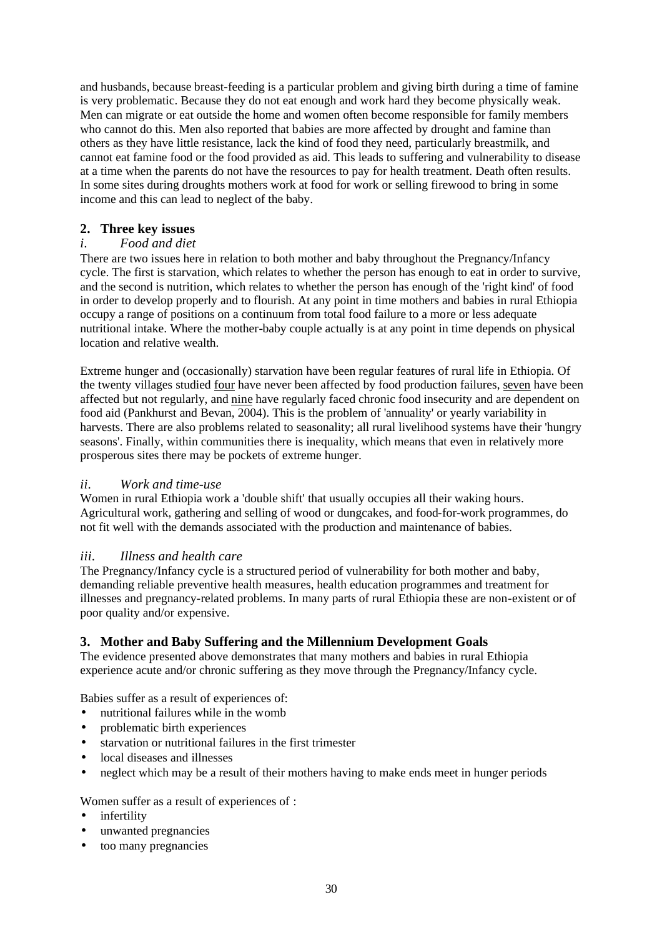and husbands, because breast-feeding is a particular problem and giving birth during a time of famine is very problematic. Because they do not eat enough and work hard they become physically weak. Men can migrate or eat outside the home and women often become responsible for family members who cannot do this. Men also reported that babies are more affected by drought and famine than others as they have little resistance, lack the kind of food they need, particularly breastmilk, and cannot eat famine food or the food provided as aid. This leads to suffering and vulnerability to disease at a time when the parents do not have the resources to pay for health treatment. Death often results. In some sites during droughts mothers work at food for work or selling firewood to bring in some income and this can lead to neglect of the baby.

# **2. Three key issues**

# *i. Food and diet*

There are two issues here in relation to both mother and baby throughout the Pregnancy/Infancy cycle. The first is starvation, which relates to whether the person has enough to eat in order to survive, and the second is nutrition, which relates to whether the person has enough of the 'right kind' of food in order to develop properly and to flourish. At any point in time mothers and babies in rural Ethiopia occupy a range of positions on a continuum from total food failure to a more or less adequate nutritional intake. Where the mother-baby couple actually is at any point in time depends on physical location and relative wealth.

Extreme hunger and (occasionally) starvation have been regular features of rural life in Ethiopia. Of the twenty villages studied four have never been affected by food production failures, seven have been affected but not regularly, and nine have regularly faced chronic food insecurity and are dependent on food aid (Pankhurst and Bevan, 2004). This is the problem of 'annuality' or yearly variability in harvests. There are also problems related to seasonality; all rural livelihood systems have their 'hungry seasons'. Finally, within communities there is inequality, which means that even in relatively more prosperous sites there may be pockets of extreme hunger.

# *ii. Work and time-use*

Women in rural Ethiopia work a 'double shift' that usually occupies all their waking hours. Agricultural work, gathering and selling of wood or dungcakes, and food-for-work programmes, do not fit well with the demands associated with the production and maintenance of babies.

## *iii. Illness and health care*

The Pregnancy/Infancy cycle is a structured period of vulnerability for both mother and baby, demanding reliable preventive health measures, health education programmes and treatment for illnesses and pregnancy-related problems. In many parts of rural Ethiopia these are non-existent or of poor quality and/or expensive.

# **3. Mother and Baby Suffering and the Millennium Development Goals**

The evidence presented above demonstrates that many mothers and babies in rural Ethiopia experience acute and/or chronic suffering as they move through the Pregnancy/Infancy cycle.

Babies suffer as a result of experiences of:

- nutritional failures while in the womb
- problematic birth experiences
- starvation or nutritional failures in the first trimester
- local diseases and illnesses
- neglect which may be a result of their mothers having to make ends meet in hunger periods

# Women suffer as a result of experiences of :

- *infertility*
- unwanted pregnancies
- too many pregnancies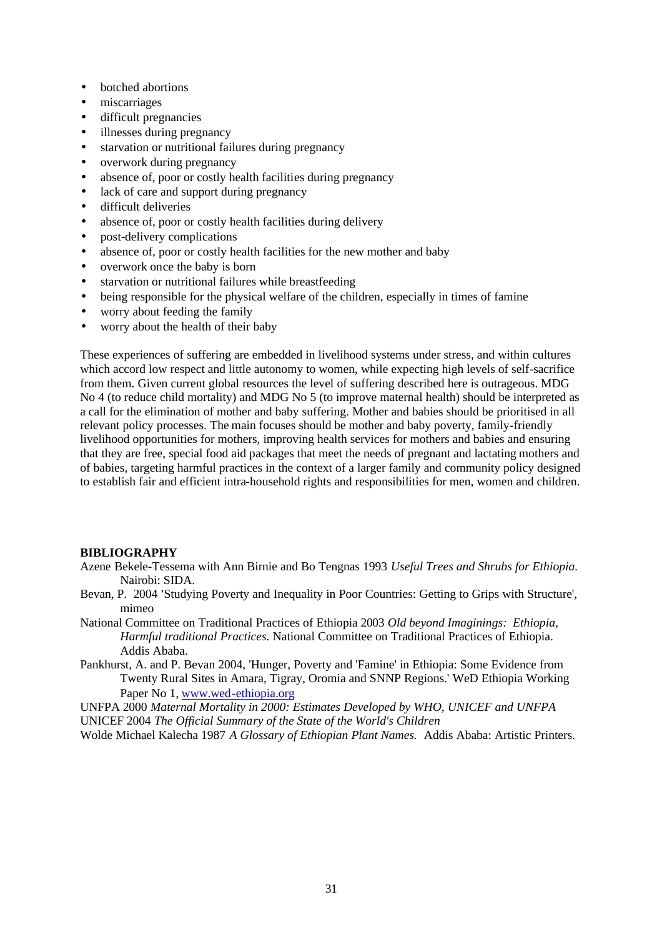- botched abortions
- miscarriages
- difficult pregnancies
- illnesses during pregnancy
- starvation or nutritional failures during pregnancy
- overwork during pregnancy
- absence of, poor or costly health facilities during pregnancy
- lack of care and support during pregnancy
- difficult deliveries
- absence of, poor or costly health facilities during delivery
- post-delivery complications
- absence of, poor or costly health facilities for the new mother and baby
- overwork once the baby is born
- starvation or nutritional failures while breastfeeding
- being responsible for the physical welfare of the children, especially in times of famine
- worry about feeding the family
- worry about the health of their baby

These experiences of suffering are embedded in livelihood systems under stress, and within cultures which accord low respect and little autonomy to women, while expecting high levels of self-sacrifice from them. Given current global resources the level of suffering described here is outrageous. MDG No 4 (to reduce child mortality) and MDG No 5 (to improve maternal health) should be interpreted as a call for the elimination of mother and baby suffering. Mother and babies should be prioritised in all relevant policy processes. The main focuses should be mother and baby poverty, family-friendly livelihood opportunities for mothers, improving health services for mothers and babies and ensuring that they are free, special food aid packages that meet the needs of pregnant and lactating mothers and of babies, targeting harmful practices in the context of a larger family and community policy designed to establish fair and efficient intra-household rights and responsibilities for men, women and children.

## **BIBLIOGRAPHY**

- Azene Bekele-Tessema with Ann Birnie and Bo Tengnas 1993 *Useful Trees and Shrubs for Ethiopia.*  Nairobi: SIDA.
- Bevan, P. 2004 **'**Studying Poverty and Inequality in Poor Countries: Getting to Grips with Structure', mimeo
- National Committee on Traditional Practices of Ethiopia 2003 *Old beyond Imaginings: Ethiopia, Harmful traditional Practices*. National Committee on Traditional Practices of Ethiopia. Addis Ababa.
- Pankhurst, A. and P. Bevan 2004, 'Hunger, Poverty and 'Famine' in Ethiopia: Some Evidence from Twenty Rural Sites in Amara, Tigray, Oromia and SNNP Regions.' WeD Ethiopia Working Paper No 1, www.wed-ethiopia.org

UNFPA 2000 *Maternal Mortality in 2000: Estimates Developed by WHO, UNICEF and UNFPA* UNICEF 2004 *The Official Summary of the State of the World's Children* 

Wolde Michael Kalecha 1987 *A Glossary of Ethiopian Plant Names.* Addis Ababa: Artistic Printers.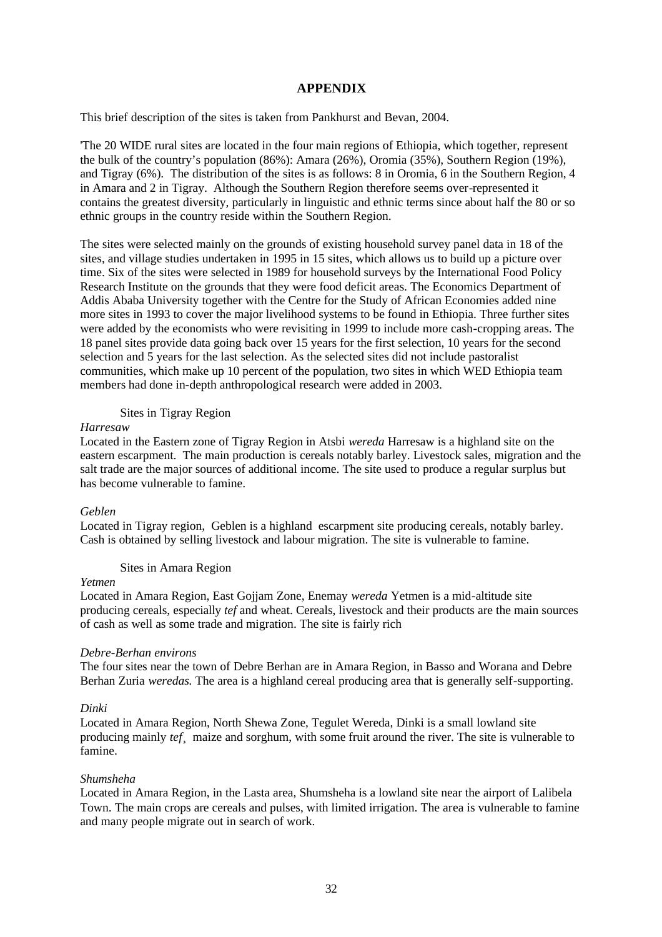## **APPENDIX**

This brief description of the sites is taken from Pankhurst and Bevan, 2004.

'The 20 WIDE rural sites are located in the four main regions of Ethiopia, which together, represent the bulk of the country's population (86%): Amara (26%), Oromia (35%), Southern Region (19%), and Tigray (6%). The distribution of the sites is as follows: 8 in Oromia, 6 in the Southern Region, 4 in Amara and 2 in Tigray. Although the Southern Region therefore seems over-represented it contains the greatest diversity, particularly in linguistic and ethnic terms since about half the 80 or so ethnic groups in the country reside within the Southern Region.

The sites were selected mainly on the grounds of existing household survey panel data in 18 of the sites, and village studies undertaken in 1995 in 15 sites, which allows us to build up a picture over time. Six of the sites were selected in 1989 for household surveys by the International Food Policy Research Institute on the grounds that they were food deficit areas. The Economics Department of Addis Ababa University together with the Centre for the Study of African Economies added nine more sites in 1993 to cover the major livelihood systems to be found in Ethiopia. Three further sites were added by the economists who were revisiting in 1999 to include more cash-cropping areas. The 18 panel sites provide data going back over 15 years for the first selection, 10 years for the second selection and 5 years for the last selection. As the selected sites did not include pastoralist communities, which make up 10 percent of the population, two sites in which WED Ethiopia team members had done in-depth anthropological research were added in 2003.

## Sites in Tigray Region

### *Harresaw*

Located in the Eastern zone of Tigray Region in Atsbi *wereda* Harresaw is a highland site on the eastern escarpment. The main production is cereals notably barley. Livestock sales, migration and the salt trade are the major sources of additional income. The site used to produce a regular surplus but has become vulnerable to famine.

### *Geblen*

Located in Tigray region, Geblen is a highland escarpment site producing cereals, notably barley. Cash is obtained by selling livestock and labour migration. The site is vulnerable to famine.

### Sites in Amara Region

## *Yetmen*

Located in Amara Region, East Gojjam Zone, Enemay *wereda* Yetmen is a mid-altitude site producing cereals, especially *tef* and wheat. Cereals, livestock and their products are the main sources of cash as well as some trade and migration. The site is fairly rich

### *Debre-Berhan environs*

The four sites near the town of Debre Berhan are in Amara Region, in Basso and Worana and Debre Berhan Zuria *weredas.* The area is a highland cereal producing area that is generally self-supporting.

### *Dinki*

Located in Amara Region, North Shewa Zone, Tegulet Wereda, Dinki is a small lowland site producing mainly *tef* maize and sorghum, with some fruit around the river. The site is vulnerable to famine.

### *Shumsheha*

Located in Amara Region, in the Lasta area, Shumsheha is a lowland site near the airport of Lalibela Town. The main crops are cereals and pulses, with limited irrigation. The area is vulnerable to famine and many people migrate out in search of work.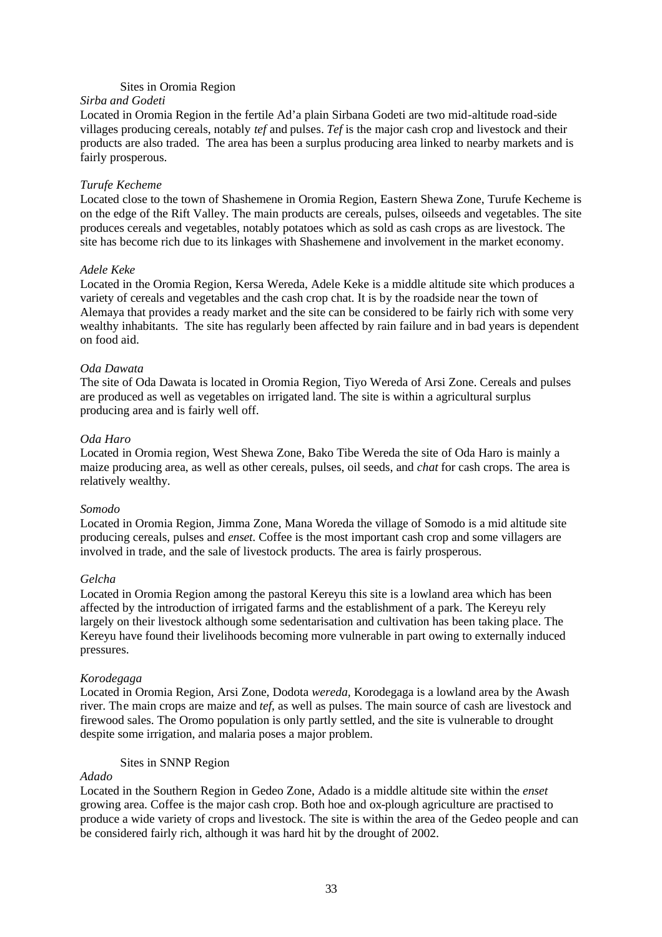## Sites in Oromia Region

### *Sirba and Godeti*

Located in Oromia Region in the fertile Ad'a plain Sirbana Godeti are two mid-altitude road-side villages producing cereals, notably *tef* and pulses. *Tef* is the major cash crop and livestock and their products are also traded. The area has been a surplus producing area linked to nearby markets and is fairly prosperous.

### *Turufe Kecheme*

Located close to the town of Shashemene in Oromia Region, Eastern Shewa Zone, Turufe Kecheme is on the edge of the Rift Valley. The main products are cereals, pulses, oilseeds and vegetables. The site produces cereals and vegetables, notably potatoes which as sold as cash crops as are livestock. The site has become rich due to its linkages with Shashemene and involvement in the market economy.

### *Adele Keke*

Located in the Oromia Region, Kersa Wereda, Adele Keke is a middle altitude site which produces a variety of cereals and vegetables and the cash crop chat. It is by the roadside near the town of Alemaya that provides a ready market and the site can be considered to be fairly rich with some very wealthy inhabitants. The site has regularly been affected by rain failure and in bad years is dependent on food aid.

### *Oda Dawata*

The site of Oda Dawata is located in Oromia Region, Tiyo Wereda of Arsi Zone. Cereals and pulses are produced as well as vegetables on irrigated land. The site is within a agricultural surplus producing area and is fairly well off.

### *Oda Haro*

Located in Oromia region, West Shewa Zone, Bako Tibe Wereda the site of Oda Haro is mainly a maize producing area, as well as other cereals, pulses, oil seeds, and *chat* for cash crops. The area is relatively wealthy.

## *Somodo*

Located in Oromia Region, Jimma Zone, Mana Woreda the village of Somodo is a mid altitude site producing cereals, pulses and *enset*. Coffee is the most important cash crop and some villagers are involved in trade, and the sale of livestock products. The area is fairly prosperous.

### *Gelcha*

Located in Oromia Region among the pastoral Kereyu this site is a lowland area which has been affected by the introduction of irrigated farms and the establishment of a park. The Kereyu rely largely on their livestock although some sedentarisation and cultivation has been taking place. The Kereyu have found their livelihoods becoming more vulnerable in part owing to externally induced pressures.

### *Korodegaga*

Located in Oromia Region, Arsi Zone, Dodota *wereda,* Korodegaga is a lowland area by the Awash river. The main crops are maize and *tef*, as well as pulses. The main source of cash are livestock and firewood sales. The Oromo population is only partly settled, and the site is vulnerable to drought despite some irrigation, and malaria poses a major problem.

## Sites in SNNP Region

## *Adado*

Located in the Southern Region in Gedeo Zone, Adado is a middle altitude site within the *enset*  growing area. Coffee is the major cash crop. Both hoe and ox-plough agriculture are practised to produce a wide variety of crops and livestock. The site is within the area of the Gedeo people and can be considered fairly rich, although it was hard hit by the drought of 2002.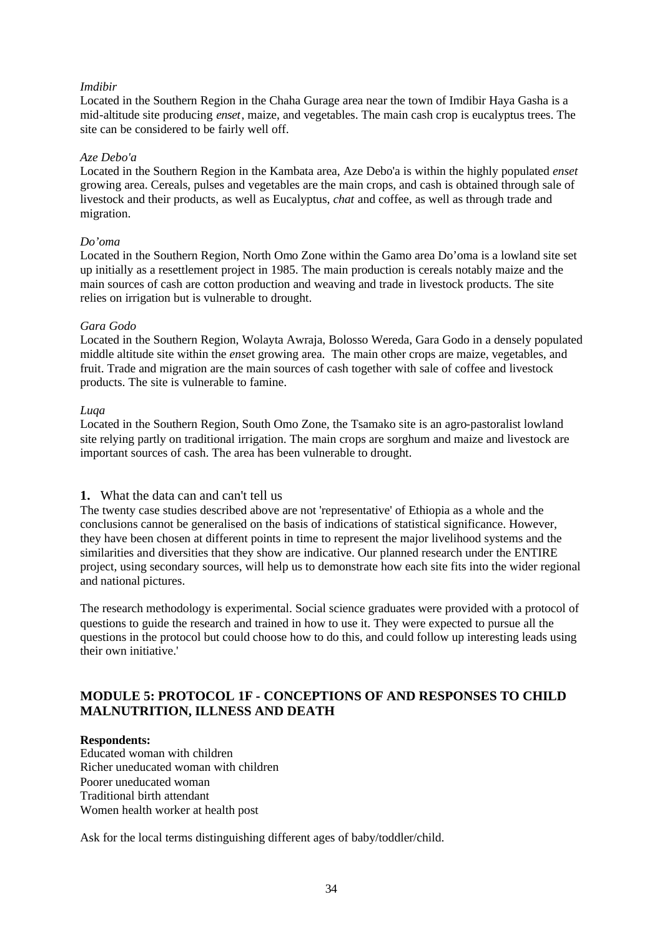## *Imdibir*

Located in the Southern Region in the Chaha Gurage area near the town of Imdibir Haya Gasha is a mid-altitude site producing *enset*, maize, and vegetables. The main cash crop is eucalyptus trees. The site can be considered to be fairly well off.

## *Aze Debo'a*

Located in the Southern Region in the Kambata area, Aze Debo'a is within the highly populated *enset* growing area. Cereals, pulses and vegetables are the main crops, and cash is obtained through sale of livestock and their products, as well as Eucalyptus, *chat* and coffee, as well as through trade and migration.

## *Do'oma*

Located in the Southern Region, North Omo Zone within the Gamo area Do'oma is a lowland site set up initially as a resettlement project in 1985. The main production is cereals notably maize and the main sources of cash are cotton production and weaving and trade in livestock products. The site relies on irrigation but is vulnerable to drought.

## *Gara Godo*

Located in the Southern Region, Wolayta Awraja, Bolosso Wereda, Gara Godo in a densely populated middle altitude site within the *ense*t growing area. The main other crops are maize, vegetables, and fruit. Trade and migration are the main sources of cash together with sale of coffee and livestock products. The site is vulnerable to famine.

## *Luqa*

Located in the Southern Region, South Omo Zone, the Tsamako site is an agro-pastoralist lowland site relying partly on traditional irrigation. The main crops are sorghum and maize and livestock are important sources of cash. The area has been vulnerable to drought.

# **1.** What the data can and can't tell us

The twenty case studies described above are not 'representative' of Ethiopia as a whole and the conclusions cannot be generalised on the basis of indications of statistical significance. However, they have been chosen at different points in time to represent the major livelihood systems and the similarities and diversities that they show are indicative. Our planned research under the ENTIRE project, using secondary sources, will help us to demonstrate how each site fits into the wider regional and national pictures.

The research methodology is experimental. Social science graduates were provided with a protocol of questions to guide the research and trained in how to use it. They were expected to pursue all the questions in the protocol but could choose how to do this, and could follow up interesting leads using their own initiative.'

# **MODULE 5: PROTOCOL 1F - CONCEPTIONS OF AND RESPONSES TO CHILD MALNUTRITION, ILLNESS AND DEATH**

# **Respondents:**

Educated woman with children Richer uneducated woman with children Poorer uneducated woman Traditional birth attendant Women health worker at health post

Ask for the local terms distinguishing different ages of baby/toddler/child.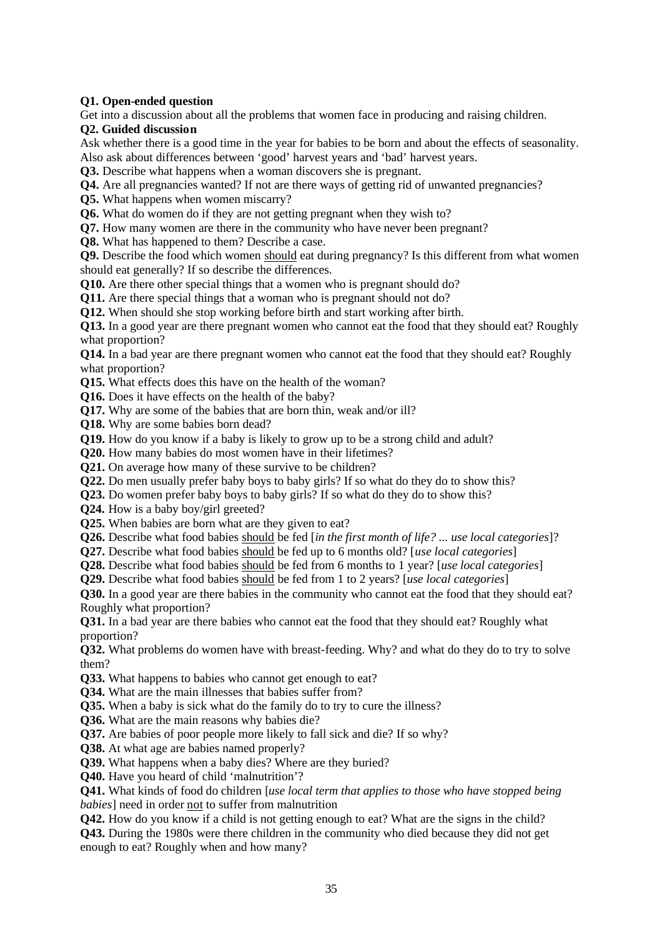## **Q1. Open-ended question**

Get into a discussion about all the problems that women face in producing and raising children.

## **Q2. Guided discussion**

Ask whether there is a good time in the year for babies to be born and about the effects of seasonality. Also ask about differences between 'good' harvest years and 'bad' harvest years.

**Q3.** Describe what happens when a woman discovers she is pregnant.

**Q4.** Are all pregnancies wanted? If not are there ways of getting rid of unwanted pregnancies?

**Q5.** What happens when women miscarry?

**Q6.** What do women do if they are not getting pregnant when they wish to?

**Q7.** How many women are there in the community who have never been pregnant?

**Q8.** What has happened to them? Describe a case.

**Q9.** Describe the food which women should eat during pregnancy? Is this different from what women should eat generally? If so describe the differences.

**Q10.** Are there other special things that a women who is pregnant should do?

**Q11.** Are there special things that a woman who is pregnant should not do?

**Q12.** When should she stop working before birth and start working after birth.

**Q13.** In a good year are there pregnant women who cannot eat the food that they should eat? Roughly what proportion?

**Q14.** In a bad year are there pregnant women who cannot eat the food that they should eat? Roughly what proportion?

**Q15.** What effects does this have on the health of the woman?

**Q16.** Does it have effects on the health of the baby?

**Q17.** Why are some of the babies that are born thin, weak and/or ill?

**Q18.** Why are some babies born dead?

**Q19.** How do you know if a baby is likely to grow up to be a strong child and adult?

**Q20.** How many babies do most women have in their lifetimes?

**Q21.** On average how many of these survive to be children?

**Q22.** Do men usually prefer baby boys to baby girls? If so what do they do to show this?

**Q23.** Do women prefer baby boys to baby girls? If so what do they do to show this?

**Q24.** How is a baby boy/girl greeted?

**Q25.** When babies are born what are they given to eat?

**Q26.** Describe what food babies should be fed [*in the first month of life? ... use local categories*]?

**Q27.** Describe what food babies should be fed up to 6 months old? [*use local categories*]

**Q28.** Describe what food babies should be fed from 6 months to 1 year? [*use local categories*]

**Q29.** Describe what food babies should be fed from 1 to 2 years? [*use local categories*]

**Q30.** In a good year are there babies in the community who cannot eat the food that they should eat? Roughly what proportion?

**Q31.** In a bad year are there babies who cannot eat the food that they should eat? Roughly what proportion?

**Q32.** What problems do women have with breast-feeding. Why? and what do they do to try to solve them?

**Q33.** What happens to babies who cannot get enough to eat?

**Q34.** What are the main illnesses that babies suffer from?

**Q35.** When a baby is sick what do the family do to try to cure the illness?

**Q36.** What are the main reasons why babies die?

**Q37.** Are babies of poor people more likely to fall sick and die? If so why?

**Q38.** At what age are babies named properly?

**Q39.** What happens when a baby dies? Where are they buried?

**Q40.** Have you heard of child 'malnutrition'?

**Q41.** What kinds of food do children [*use local term that applies to those who have stopped being babies*] need in order not to suffer from malnutrition

**Q42.** How do you know if a child is not getting enough to eat? What are the signs in the child?

**Q43.** During the 1980s were there children in the community who died because they did not get enough to eat? Roughly when and how many?